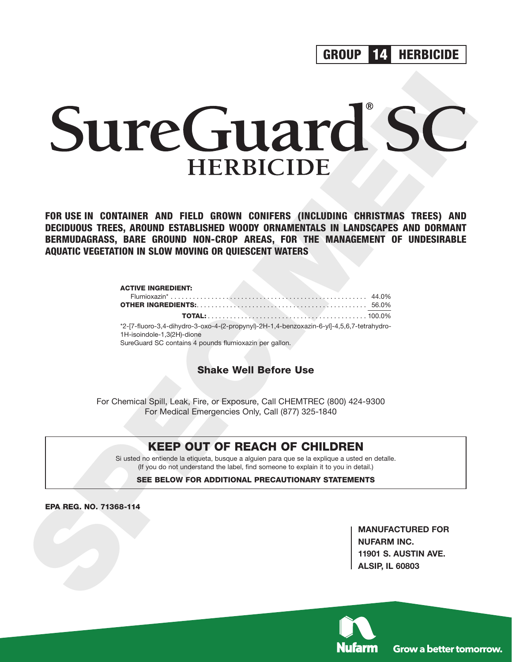**GROUP HERBICIDE 14**

# **SUITE REBICIDE**<br>
FOR USE IN BONTAILES AND FIELD GROWN BONDERS (INCLUDITE<br>
DECIDIOUS TRES, ARDUND ESTABLISHED WOODY ORIGINALS IN LANDSCAPES, AND DORNANT<br>
BERNULDASRASS, RARE GROWN DOUT ORDER AREAS, FOR THE NAMAGEMENT OF UN

**FOR USE IN CONTAINER AND FIELD GROWN CONIFERS (INCLUDING CHRISTMAS TREES) AND DECIDUOUS TREES, AROUND ESTABLISHED WOODY ORNAMENTALS IN LANDSCAPES AND DORMANT BERMUDAGRASS, BARE GROUND NON-CROP AREAS, FOR THE MANAGEMENT OF UNDESIRABLE AQUATIC VEGETATION IN SLOW MOVING OR QUIESCENT WATERS**

# **ACTIVE INGREDIENT:**

| *2-[7-fluoro-3,4-dihydro-3-oxo-4-(2-propynyl)-2H-1,4-benzoxazin-6-yl]-4,5,6,7-tetrahydro- |  |
|-------------------------------------------------------------------------------------------|--|
| 1H-isoindole-1.3(2H)-dione                                                                |  |
| SureGuard SC contains 4 pounds flumioxazin per gallon.                                    |  |

**Shake Well Before Use**

For Chemical Spill, Leak, Fire, or Exposure, Call CHEMTREC (800) 424-9300 For Medical Emergencies Only, Call (877) 325-1840

# **KEEP OUT OF REACH OF CHILDREN**

Si usted no entiende la etiqueta, busque a alguien para que se la explique a usted en detalle. (If you do not understand the label, find someone to explain it to you in detail.)

**SEE BELOW FOR ADDITIONAL PRECAUTIONARY STATEMENTS**

**EPA REG. NO. 71368-114**

**MANUFACTURED FOR NUFARM INC. 11901 S. AUSTIN AVE. ALSIP, IL 60803**

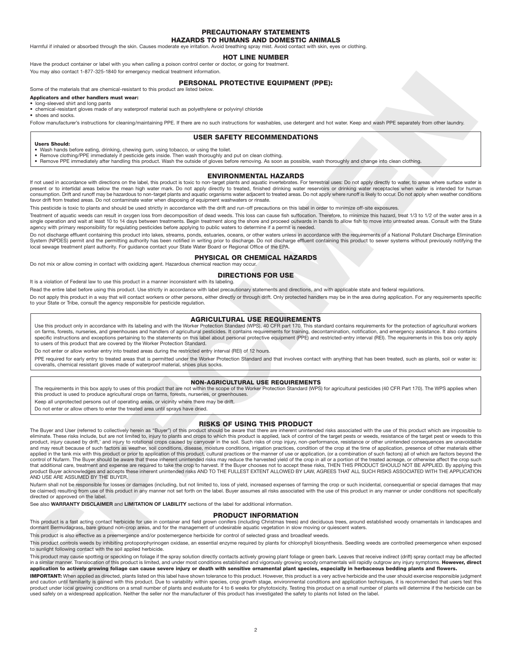### **PRECAUTIONARY STATEMENTS HAZARDS TO HUMANS AND DOMESTIC ANIMALS**

Harmful if inhaled or absorbed through the skin. Causes moderate eye irritation. Avoid breathing spray mist. Avoid contact with skin, eyes or clothing.

### **HOT LINE NUMBER**

Have the product container or label with you when calling a poison control center or doctor, or going for treatment. You may also contact 1-877-325-1840 for emergency medical treatment information.

### **PERSONAL PROTECTIVE EQUIPMENT (PPE):**

Some of the materials that are chemical-resistant to this product are listed below.

## **Applicators and other handlers must wear:**

### long-sleeved shirt and long pants

• chemical-resistant gloves made of any waterproof material such as polyethylene or polyvinyl chloride

• shoes and socks.

Follow manufacturer's instructions for cleaning/maintaining PPE. If there are no such instructions for washables, use detergent and hot water. Keep and wash PPE separately from other laundry.

## **USER SAFETY RECOMMENDATIONS**

**Users Should:**

- Wash hands before eating, drinking, chewing gum, using tobacco, or using the toilet.
- Remove clothing/PPE immediately if pesticide gets inside. Then wash thoroughly and put on clean clothing.<br>● Remove PPE immediately after handling this product. Wash the outside of gloves before removing. As soon as poss
	-

### **ENVIRONMENTAL HAZARDS**

lf not used in accordance with directions on the label, this product is toxic to non-target plants and aquatic invertebrates. For terrestrial uses: Do not apply directly to water, to areas where surface water is<br>present or consumption. Drift and runoff may be hazardous to non-target plants and aquatic organisms water adjacent to treated areas. Do not apply where runoff is likely to occur. Do not apply when weather conditions favor drift from treated areas. Do not contaminate water when disposing of equipment washwaters or rinsate.

This pesticide is toxic to plants and should be used strictly in accordance with the drift and run-off precautions on this label in order to minimize off-site exposures.

Treatment of aquatic weeds can result in oxygen loss from decomposition of dead weeds. This loss can cause fish suffocation. Therefore, to minimize this hazard, treat 1/3 to 1/2 of the water area in a single operation and wait at least 10 to 14 days between treatments. Begin treatment along the shore and proceed outwards in bands to allow fish to move into untreated areas. Consult with the State<br>agency with primary resp

Do not discharge effluent containing this product into lakes, streams, ponds, estuaries, oceans, or other waters unless in accordance with the requirements of a National Pollutant Discharge Elimination<br>System (NPDES) permi local sewage treatment plant authority. For guidance contact your State Water Board or Regional Office of the EPA.

### **PHYSICAL OR CHEMICAL HAZARDS**

Do not mix or allow coming in contact with oxidizing agent. Hazardous chemical reaction may occur.

### **DIRECTIONS FOR USE**

It is a violation of Federal law to use this product in a manner inconsistent with its labeling

Read the entire label before using this product. Use strictly in accordance with label precautionary statements and directions, and with applicable state and federal regulations.

Do not apply this product in a way that will contact workers or other persons, either directly or through drift. Only protected handlers may be in the area during application. For any requirements specific to your State or Tribe, consult the agency responsible for pesticide regulation.

### **AGRICULTURAL USE REQUIREMENTS**

Use this product only in accordance with its labeling and with the Worker Protection Standard (WPS), 40 CFR part 170. This standard contains requirements for the protection of agricultural workers<br>on farms, forests, nurser specific instructions and exceptions pertaining to the statements on this label about personal protective equipment (PPE) and restricted-entry interval (REI). The requirements in this box only apply to users of this product that are covered by the Worker Protection Standard.

Do not enter or allow worker entry into treated areas during the restricted entry interval (REI) of 12 hours.

PPE required for early entry to treated areas that is permitted under the Worker Protection Standard and that involves contact with anything that has been treated, such as plants, soil or water is: coveralls, chemical resistant gloves made of waterproof material, shoes plus socks.

### **NON-AGRICULTURAL USE REQUIREMENTS**

The requirements in this box apply to uses of this product that are not within the scope of the Worker Protection Standard (WPS) for agricultural pesticides (40 CFR Part 170). The WPS applies when this product is used to produce agricultural crops on farms, forests, nurseries, or greenhouses.

Keep all unprotected persons out of operating areas, or vicinity where there may be drift.

Do not enter or allow others to enter the treated area until sprays have dried.

### **RISKS OF USING THIS PRODUCT**

**SPECIMEN** The Buyer and User (referred to collectively herein as "Buyer") of this product should be aware that there are inherent unintended risks associated with the use of this product which are impossible to eliminate. These risks include, but are not limited to, injury to plants and crops to which this product is applied, lack of control of the target pests or weeds, resistance of the target pest or weeds to this product, injury caused by drift,' and injury to rotational crops caused by carryover in the soil. Such risks of crop injury, non-performance, resistance or other unintended consequences are unavoidable<br>and may result becau applied in the tank mix with this product or prior to application of this product, cultural practices or the manner of use or application, (or a combination of such factors) all of which are factors beyond the<br>control of N product Buyer acknowledges and accepts these inherent unintended risks AND TO THE FULLEST EXTENT ALLOWED BY LAW, AGREES THAT ALL SUCH RISKS ASSOCIATED WITH THE APPLICATION<br>AND USE ARE ASSUMED BY THE BUYER.

Nufarm shall not be responsible for losses or damages (including, but not limited to, loss of yield, increased expenses of farming the crop or such incidental, consequential or special damages that may be claimed) resulting from use of this product in any manner not set forth on the label. Buyer assumes all risks associated with the use of this product in any manner or under conditions not specifically directed or approved on the label.

See also **WARRANTY DISCLAIMER** and **LIMITATION OF LIABILITY** sections of the label for additional information.

### **PRODUCT INFORMATION**

This product is a fast acting contact herbicide for use in container and field grown conifers (including Christmas trees) and deciduous trees, around established woody ornamentals in landscapes and dormant Bermudagrass, bare ground non-crop areas, and for the management of undesirable aquatic vegetation in slow moving or quiescent waters.

This product is also effective as a preemergence and/or postemergence herbicide for control of selected grass and broadleaf weeds.

This product controls weeds by inhibiting protoporphyrinogen oxidase, an essential enzyme required by plants for chlorophyll biosynthesis. Seedling weeds are controlled preemergence when exposed to sunlight following contact with the soil applied herbicide.

This product may cause spotting or speckling on foliage if the spray solution directly contacts actively growing plant foliage or green bark. Leaves that receive indirect (drift) spray contact may be affected in a similar manner. Translocation of this product is limited, and under most conditions established and vigorously growing woody ornamentals will rapidly outgrow any injury symptoms. **However, direct application to actively growing foliage can cause severe injury or death with sensitive ornamental plant species, especially in herbaceous bedding plants and flowers.**

**IMPORTANT:** When applied as directed, plants listed on this label have shown tolerance to this product. However, this product is a very active herbicide and the user should exercise responsible judgment and caution until familiarity is gained with this product. Due to variability within species, crop growth stage, environmental conditions and application techniques, it is recommended that users test this product under local growing conditions on a small number of plants and evaluate for 4 to 6 weeks for phytotoxicity. Testing this product on a small number of plants will determine if the herbicide can be<br>used safely on a w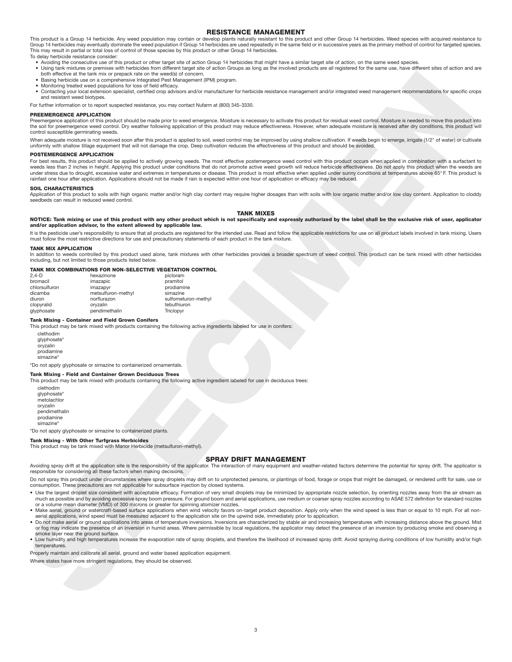### **RESISTANCE MANAGEMENT**

This product is a Group 14 herbicide. Any weed population may contain or develop plants naturally resistant to this product and other Group 14 herbicides. Weed species with acquired resistance to<br>Group 14 herbicides may ev This may result in partial or total loss of control of those species by this product or other Group 14 herbicides. To delay herbicide resistance consider:

- Avoiding the consecutive use of this product or other target site of action Group 14 herbicides that might have a similar target site of action, on the same weed species.
- Using tank mixtures or premixes with herbicides from different target site of action Groups as long as the involved products are all registered for the same use, have different sites of action and are both effective at the tank mix or prepack rate on the weed(s) of concern.
- Basing herbicide use on a comprehensive Integrated Pest Management (IPM) program.
- Monitoring treated weed populations for loss of field efficacy.
- Contacting your local extension specialist, certified crop advisors and/or manufacturer for herbicide resistance management and/or integrated weed management recommendations for specific crops and resistant weed biotypes.

For further information or to report suspected resistance, you may contact Nufarm at (800) 345-3330.

### **PREEMERGENCE APPLICATION**

Preemergence application of this product should be made prior to weed emergence. Moisture is necessary to activate this product for residual weed control. Moisture is needed to move this product into the soil for preemergence weed control. Dry weather following application of this product may reduce effectiveness. However, when adequate moisture is received after dry conditions, this product will control susceptible germinating weeds.

When adequate moisture is not received soon after this product is applied to soil, weed control may be improved by using shallow cultivation. If weeds begin to emerge, irrigate (1/2" of water) or cultivate uniformly with shallow tillage equipment that will not damage the crop. Deep cultivation reduces the effectiveness of this product and should be avoided.

### **POSTEMERGENCE APPLICATION**

**SPECIMEN** For best results, this product should be applied to actively growing weeds. The most effective postemergence weed control with this product occurs when applied in combination with a surfactant to weeds less than 2 inches in height. Applying this product under conditions that do not promote active weed growth will reduce herbicide effectiveness. Do not apply this product when the weeds are under stress due to drought, excessive water and extremes in temperatures or disease. This product is most effective when applied under sunny conditions at temperatures above 65° F. This product is rainfast one hour after application. Applications should not be made if rain is expected within one hour of application or efficacy may be reduced.

### **SOIL CHARACTERISTICS**

Application of this product to soils with high organic matter and/or high clay content may require higher dosages than with soils with low organic matter and/or low clay content. Application to cloddy seedbeds can result in reduced weed control.

### **TANK MIXES**

### **NOTICE: Tank mixing or use of this product with any other product which is not specifically and expressly authorized by the label shall be the exclusive risk of user, applicator and/or application advisor, to the extent allowed by applicable law.**

It is the pesticide user's responsibility to ensure that all products are registered for the intended use. Read and follow the applicable restrictions for use on all product labels involved in tank mixing. Users must follow the most restrictive directions for use and precautionary statements of each product in the tank mixture.

### **TANK MIX APPLICATION**

In addition to weeds controlled by this product used alone, tank mixtures with other herbicides provides a broader spectrum of weed control. This product can be tank mixed with other herbicides including, but not limited to those products listed below.

### **TANK MIX COMBINATIONS FOR NON-SELECTIVE VEGETATION CONTROL**

| 2.4-D         | hexazinone         | picloram            |
|---------------|--------------------|---------------------|
| bromacil      | imazapic           | pramitol            |
| chlorsulfuron | imazapyr           | prodiamine          |
| dicamba       | metsulfuron-methyl | simazine            |
| diuron        | norflurazon        | sulfometuron-methyl |
| clopyralid    | orvzalin           | tebuthiuron         |
| glyphosate    | pendimethalin      | Triclopyr           |
|               |                    |                     |

### **Tank Mixing - Container and Field Grown Conifers**

This product may be tank mixed with products containing the following active ingredients labeled for use in conifers:

clethodim glyphosate\* oryzalin prodiamine .<br>simazine

\*Do not apply glyphosate or simazine to containerized ornamentals.

### **Tank Mixing - Field and Container Grown Deciduous Trees**

This product may be tank mixed with products containing the following active ingredient labeled for use in deciduous trees:

clethodim glyphosate\* metolachlor oryzalin pendimethalin .<br>prodiamine simazine\*

\*Do not apply glyphosate or simazine to containerized plants.

### **Tank Mixing - With Other Turfgrass Herbicides**

This product may be tank mixed with Manor Herbicide (metsulfuron-methyl).

### **SPRAY DRIFT MANAGEMENT**

Avoiding spray drift at the application site is the responsibility of the applicator. The interaction of many equipment and weather-related factors determine the potential for spray drift. The applicator is responsible for considering all these factors when making decisions.

Do not spray this product under circumstances where spray droplets may drift on to unprotected persons, or plantings of food, forage or crops that might be damaged, or rendered unfit for sale, use or consumption. These precautions are not applicable for subsurface injection by closed systems.

- Use the largest droplet size consistent with acceptable efficacy. Formation of very small droplets may be minimized by appropriate nozzle selection, by orienting nozzles away from the air stream as much as possible and by avoiding excessive spray boom pressure. For ground boom and aerial applications, use medium or coarser spray nozzles according to ASAE 572 definition for standard nozzles or a volume mean diameter (VMD) of 300 microns or greater for spinning atomizer nozzles.
- Make aerial, ground or watercraft-based surface applications when wind velocity favors on-target product deposition. Apply only when the wind speed is less than or equal to 10 mph. For all nonaerial applications, wind speed must be measured adjacent to the application site on the upwind side, immediately prior to application.
- Do not make aerial or ground applications into areas of temperature inversions. Inversions are characterized by stable air and increasing temperatures with increasing distance above the ground. Mist or fog may indicate the smoke layer near the ground surface.
- Low humidity and high temperatures increase the evaporation rate of spray droplets, and therefore the likelihood of increased spray drift. Avoid spraying during conditions of low humidity and/or high **temperatures**

Properly maintain and calibrate all aerial, ground and water based application equipment.

Where states have more stringent regulations, they should be observed.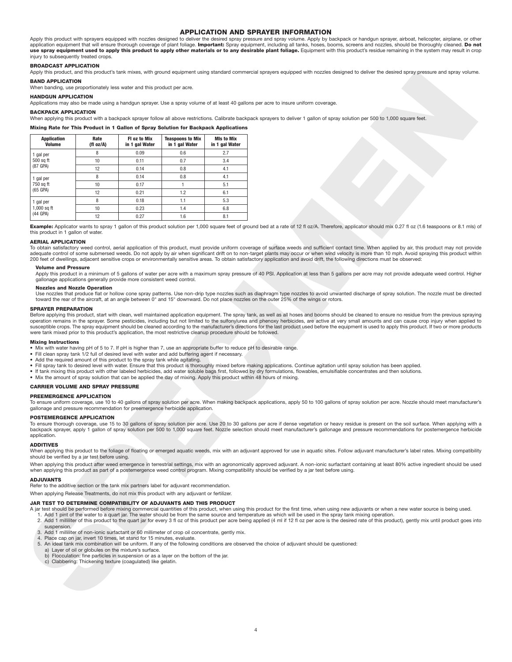### **APPLICATION AND SPRAYER INFORMATION**

Apply this product with sprayers equipped with nozzles designed to deliver the desired spray pressure and spray volume. Apply by backpack or handgun sprayer, airboat, helicopter, airplane, or other<br>application equipment th use spray equipment used to apply this product to apply other materials or to any desirable plant foliage. Equipment with this product's residue remaining in the system may result in crop injury to subsequently treated crops.

### **BROADCAST APPLICATION**

Apply this product, and this product's tank mixes, with ground equipment using standard commercial sprayers equipped with nozzles designed to deliver the desired spray pressure and spray volume.

### **BAND APPLICATION**

### **HANDGUN APPLICATION**

### **BACKPACK APPLICATION**

### **Mixing Rate for This Product in 1 Gallon of Spray Solution for Backpack Applications**

|                                                                                                                                                                                                                                                                                                                                                                                                                                                                                                                                                                                            | <b>BACKPACK APPLICATION</b> |                                                                           |                                                                                                   |                                     |                                                                                                                                                                                                                                                                                                                                                                                                                                                                                                                                                                                                                                                                                                                                                                                                                |
|--------------------------------------------------------------------------------------------------------------------------------------------------------------------------------------------------------------------------------------------------------------------------------------------------------------------------------------------------------------------------------------------------------------------------------------------------------------------------------------------------------------------------------------------------------------------------------------------|-----------------------------|---------------------------------------------------------------------------|---------------------------------------------------------------------------------------------------|-------------------------------------|----------------------------------------------------------------------------------------------------------------------------------------------------------------------------------------------------------------------------------------------------------------------------------------------------------------------------------------------------------------------------------------------------------------------------------------------------------------------------------------------------------------------------------------------------------------------------------------------------------------------------------------------------------------------------------------------------------------------------------------------------------------------------------------------------------------|
|                                                                                                                                                                                                                                                                                                                                                                                                                                                                                                                                                                                            |                             |                                                                           |                                                                                                   |                                     | When applying this product with a backpack sprayer follow all above restrictions. Calibrate backpack sprayers to deliver 1 gallon of spray solution per 500 to 1,000 square feet.                                                                                                                                                                                                                                                                                                                                                                                                                                                                                                                                                                                                                              |
|                                                                                                                                                                                                                                                                                                                                                                                                                                                                                                                                                                                            |                             |                                                                           | Mixing Rate for This Product in 1 Gallon of Spray Solution for Backpack Applications              |                                     |                                                                                                                                                                                                                                                                                                                                                                                                                                                                                                                                                                                                                                                                                                                                                                                                                |
| <b>Application</b><br><b>Volume</b>                                                                                                                                                                                                                                                                                                                                                                                                                                                                                                                                                        | Rate<br>(fl oz/A)           | FI oz to Mix<br>in 1 gal Water                                            | <b>Teaspoons to Mix</b><br>in 1 gal Water                                                         | <b>MIs to Mix</b><br>in 1 gal Water |                                                                                                                                                                                                                                                                                                                                                                                                                                                                                                                                                                                                                                                                                                                                                                                                                |
| 1 gal per                                                                                                                                                                                                                                                                                                                                                                                                                                                                                                                                                                                  | 8                           | 0.09                                                                      | 0.6                                                                                               | 2.7                                 |                                                                                                                                                                                                                                                                                                                                                                                                                                                                                                                                                                                                                                                                                                                                                                                                                |
| 500 sq ft<br>(87 GPA)                                                                                                                                                                                                                                                                                                                                                                                                                                                                                                                                                                      | 10<br>12                    | 0.11<br>0.14                                                              | 0.7<br>0.8                                                                                        | 3.4<br>4.1                          |                                                                                                                                                                                                                                                                                                                                                                                                                                                                                                                                                                                                                                                                                                                                                                                                                |
| 1 gal per                                                                                                                                                                                                                                                                                                                                                                                                                                                                                                                                                                                  | 8                           | 0.14                                                                      | 0.8                                                                                               | 4.1                                 |                                                                                                                                                                                                                                                                                                                                                                                                                                                                                                                                                                                                                                                                                                                                                                                                                |
| 750 sq ft                                                                                                                                                                                                                                                                                                                                                                                                                                                                                                                                                                                  | 10                          | 0.17                                                                      | $\mathbf{1}$                                                                                      | 5.1                                 |                                                                                                                                                                                                                                                                                                                                                                                                                                                                                                                                                                                                                                                                                                                                                                                                                |
| $(65$ GPA)                                                                                                                                                                                                                                                                                                                                                                                                                                                                                                                                                                                 | 12                          | 0.21                                                                      | 1.2                                                                                               | 6.1                                 |                                                                                                                                                                                                                                                                                                                                                                                                                                                                                                                                                                                                                                                                                                                                                                                                                |
| 1 gal per<br>$1,000$ sq ft                                                                                                                                                                                                                                                                                                                                                                                                                                                                                                                                                                 | 8                           | 0.18                                                                      | 1.1                                                                                               | 5.3                                 |                                                                                                                                                                                                                                                                                                                                                                                                                                                                                                                                                                                                                                                                                                                                                                                                                |
| (44 GPA)                                                                                                                                                                                                                                                                                                                                                                                                                                                                                                                                                                                   | 10<br>12                    | 0.23<br>0.27                                                              | 1.4<br>1.6                                                                                        | 6.8<br>8.1                          |                                                                                                                                                                                                                                                                                                                                                                                                                                                                                                                                                                                                                                                                                                                                                                                                                |
| this product in 1 gallon of water.<br><b>AERIAL APPLICATION</b>                                                                                                                                                                                                                                                                                                                                                                                                                                                                                                                            |                             |                                                                           |                                                                                                   |                                     | Example: Applicator wants to spray 1 gallon of this product solution per 1,000 square feet of ground bed at a rate of 12 fl oz/A. Therefore, applicator should mix 0.27 fl oz (1.6 teaspoons or 8.1 mls)<br>To obtain satisfactory weed control, aerial application of this product, must provide uniform coverage of surface weeds and sufficient contact time. When applied by air, this product may not provid<br>adequate control of some submersed weeds. Do not apply by air when significant drift on to non-target plants may occur or when wind velocity is more than 10 mph. Avoid spraying this product withi<br>200 feet of dwellings, adjacent sensitive crops or environmentally sensitive areas. To obtain satisfactory application and avoid drift, the following directions must be observed: |
| <b>Volume and Pressure</b>                                                                                                                                                                                                                                                                                                                                                                                                                                                                                                                                                                 |                             | gallonage applications generally provide more consistent weed control.    |                                                                                                   |                                     | Apply this product in a minimum of 5 gallons of water per acre with a maximum spray pressure of 40 PSI. Application at less than 5 gallons per acre may not provide adequate weed control. Highe                                                                                                                                                                                                                                                                                                                                                                                                                                                                                                                                                                                                               |
| <b>Nozzles and Nozzle Operation</b>                                                                                                                                                                                                                                                                                                                                                                                                                                                                                                                                                        |                             |                                                                           |                                                                                                   |                                     | Use nozzles that produce flat or hollow cone spray patterns. Use non-drip type nozzles such as diaphragm type nozzles to avoid unwanted discharge of spray solution. The nozzle must be directe<br>toward the rear of the aircraft, at an angle between 0° and 15° downward. Do not place nozzles on the outer 25% of the wings or rotors,                                                                                                                                                                                                                                                                                                                                                                                                                                                                     |
| were tank mixed prior to this product's application, the most restrictive cleanup procedure should be followed.<br><b>Mixing Instructions</b><br>• Mix with water having pH of 5 to 7. If pH is higher than 7, use an appropriate buffer to reduce pH to desirable range.<br>• Fill clean spray tank 1/2 full of desired level with water and add buffering agent if necessary.<br>• Add the required amount of this product to the spray tank while agitating.<br>• Mix the amount of spray solution that can be applied the day of mixing. Apply this product within 48 hours of mixing. |                             |                                                                           |                                                                                                   |                                     | . Fill spray tank to desired level with water. Ensure that this product is thoroughly mixed before making applications. Continue agitation until spray solution has been applied.<br>• If tank mixing this product with other labeled herbicides, add water soluble bags first, followed by dry formulations, flowables, emulsifiable concentrates and then solutions.                                                                                                                                                                                                                                                                                                                                                                                                                                         |
| <b>CARRIER VOLUME AND SPRAY PRESSURE</b>                                                                                                                                                                                                                                                                                                                                                                                                                                                                                                                                                   |                             |                                                                           |                                                                                                   |                                     |                                                                                                                                                                                                                                                                                                                                                                                                                                                                                                                                                                                                                                                                                                                                                                                                                |
| <b>PREEMERGENCE APPLICATION</b><br>gallonage and pressure recommendation for preemergence herbicide application.                                                                                                                                                                                                                                                                                                                                                                                                                                                                           |                             |                                                                           |                                                                                                   |                                     | To ensure uniform coverage, use 10 to 40 gallons of spray solution per acre. When making backpack applications, apply 50 to 100 gallons of spray solution per acre. Nozzle should meet manufacturer                                                                                                                                                                                                                                                                                                                                                                                                                                                                                                                                                                                                            |
| <b>POSTEMERGENCE APPLICATION</b><br>application.                                                                                                                                                                                                                                                                                                                                                                                                                                                                                                                                           |                             |                                                                           |                                                                                                   |                                     | To ensure thorough coverage, use 15 to 30 gallons of spray solution per acre. Use 20 to 30 gallons per acre if dense vegetation or heavy residue is present on the soil surface. When applying with<br>backpack sprayer, apply 1 gallon of spray solution per 500 to 1,000 square feet. Nozzle selection should meet manufacturer's gallonage and pressure recommendations for postemergence herbicid                                                                                                                                                                                                                                                                                                                                                                                                          |
| <b>ADDITIVES</b><br>should be verified by a jar test before using.                                                                                                                                                                                                                                                                                                                                                                                                                                                                                                                         |                             |                                                                           |                                                                                                   |                                     | When applying this product to the foliage of floating or emerged aquatic weeds, mix with an adjuvant approved for use in aquatic sites. Follow adjuvant manufacturer's label rates. Mixing compatibility                                                                                                                                                                                                                                                                                                                                                                                                                                                                                                                                                                                                       |
|                                                                                                                                                                                                                                                                                                                                                                                                                                                                                                                                                                                            |                             |                                                                           |                                                                                                   |                                     | When applying this product after weed emergence in terrestrial settings, mix with an agronomically approved adjuvant. A non-ionic surfactant containing at least 80% active ingredient should be use<br>when applying this product as part of a postemergence weed control program. Mixing compatibility should be verified by a jar test before using.                                                                                                                                                                                                                                                                                                                                                                                                                                                        |
|                                                                                                                                                                                                                                                                                                                                                                                                                                                                                                                                                                                            |                             |                                                                           |                                                                                                   |                                     |                                                                                                                                                                                                                                                                                                                                                                                                                                                                                                                                                                                                                                                                                                                                                                                                                |
|                                                                                                                                                                                                                                                                                                                                                                                                                                                                                                                                                                                            |                             |                                                                           |                                                                                                   |                                     |                                                                                                                                                                                                                                                                                                                                                                                                                                                                                                                                                                                                                                                                                                                                                                                                                |
| <b>ADJUVANTS</b><br>Refer to the additive section or the tank mix partners label for adjuvant recommendation.<br>When applying Release Treatments, do not mix this product with any adjuvant or fertilizer.<br>JAR TEST TO DETERMINE COMPATIBILITY OF ADJUVANTS AND THIS PRODUCT<br>suspension.                                                                                                                                                                                                                                                                                            |                             | 4. Place cap on jar, invert 10 times, let stand for 15 minutes, evaluate. | 3. Add 1 milliliter of non-ionic surfactant or 60 millimeter of crop oil concentrate, gently mix. |                                     | A jar test should be performed before mixing commercial quantities of this product, when using this product for the first time, when using new adjuvants or when a new water source is being used.<br>1. Add 1 pint of the water to a quart jar. The water should be from the same source and temperature as which will be used in the spray tank mixing operation.<br>2. Add 1 milliliter of this product to the quart jar for every 3 fl oz of this product per acre being applied (4 ml if 12 fl oz per acre is the desired rate of this product), gently mix until product goes int<br>5. An ideal tank mix combination will be uniform. If any of the following conditions are observed the choice of adjuvant should be questioned:                                                                      |

### **AERIAL APPLICATION**

### **Volume and Pressure**

### **Nozzles and Nozzle Operation**

### **SPRAYER PREPARATION**

### **Mixing Instructions**

- Mix with water having pH of 5 to 7. If pH is higher than 7, use an appropriate buffer to reduce pH to desirable range.
- Fill clean spray tank 1/2 full of desired level with water and add buffering agent if necessary.
- Add the required amount of this product to the spray tank while agitating.
- Fill spray tank to desired level with water. Ensure that this product is thoroughly mixed before making applications. Continue agitation until spray solution has been applied.<br>• If tank mixing this product with other la
- 
- Mix the amount of spray solution that can be applied the day of mixing. Apply this product within 48 hours of mixing.

# **CARRIER VOLUME AND SPRAY PRESSURE**

### **PREEMERGENCE APPLICATION**

### **POSTEMERGENCE APPLICATION**

### **ADDITIVES**

### **ADJUVANTS**

### **JAR TEST TO DETERMINE COMPATIBILITY OF ADJUVANTS AND THIS PRODUCT**

- A jar test should be performed before mixing commercial quantities of this product, when using this product for the first time, when using new adjuvants or when a new water source is being used.<br>1. Add 1 pint of the water
	- 2. Add 1 milliliter of this product to the quart jar for every 3 fl oz of this product per acre being applied (4 ml if 12 fl oz per acre is the desired rate of this product), gently mix until product goes into suspension.
- 3. Add 1 milliliter of non-ionic surfactant or 60 millimeter of crop oil concentrate, gently mix.
- 4. Place cap on jar, invert 10 times, let stand for 15 minutes, evaluate
- 5. An ideal tank mix combination will be uniform. If any of the following conditions are observed the choice of adjuvant should be questioned:
- a) Layer of oil or globules on the mixture's surface.
- b) Flocculation: fine particles in suspension or as a layer on the bottom of the jar.
- c) Clabbering: Thickening texture (coagulated) like gelatin.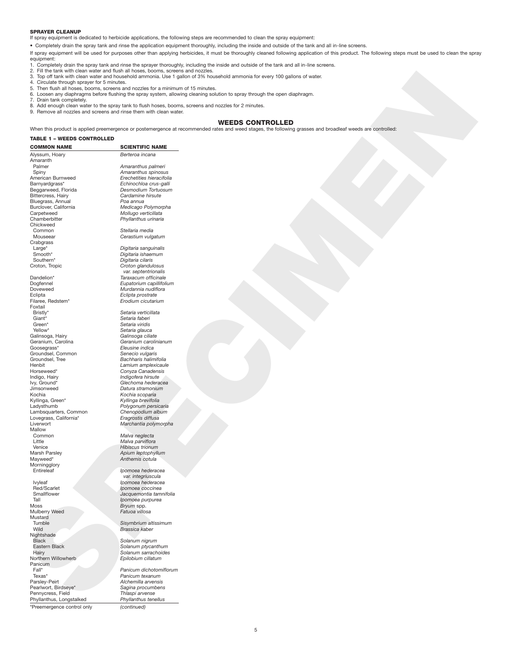### **SPRAYER CLEANUP**

If spray equipment is dedicated to herbicide applications, the following steps are recommended to clean the spray equipment:

• Completely drain the spray tank and rinse the application equipment thoroughly, including the inside and outside of the tank and all in-line screens.

If spray equipment will be used for purposes other than applying herbicides, it must be thoroughly cleaned following application of this product. The following steps must be used to clean the spray equipment:

su-winding the spray tank and rinse the sprayer thoroughly, including the inside and outside of the tank and all in-line screens.<br>2. Fill the tank with clean water and flush all hoses, booms, screens and nozzles.

- 2. Fill the tank with clean water and flush all hoses, booms, screens and nozzles.
- 3. Top off tank with clean water and household ammonia. Use 1 gallon of 3% household ammonia for every 100 gallons of water. 4. Circulate through sprayer for 5 minutes.
- 
- 5. Then flush all hoses, booms, screens and nozzles for a minimum of 15 minutes.
- 6. Loosen any diaphragms before flushing the spray system, allowing cleaning solution to spray through the open diaphragm. 7. Drain tank completely.
- 
- 8. Add enough clean water to the spray tank to flush hoses, booms, screens and nozzles for 2 minutes.
- 9. Remove all nozzles and screens and rinse them with clean water.

# **WEEDS CONTROLLED**

When this product is applied preemergence or postemergence at recommended rates and weed stages, the following grasses and broadleaf weeds are controlled:

### **TABLE 1 – WEEDS CONTROLLED**

**SPECIES AND RESERVE AND RESPONSE AND RESPONSE AND RESPONSE AND RESPONSE AND RESPONSE AND RESPONSE AND RESPONSE AND RESPONSE AND RESPONSE AND RESPONSE AND RESPONSE AND RESPONSE AND RESPONSE AND RESPONSE AND RESPONSE AND RE COMMON NAME** SCIENTIFIC NAME Alyssum, Hoary *Berteroa incana* Amaranth<br>Palmer Palmer *Amaranthus palmeri* American Burnweed<br>Barnyardgrass\* Barnyardgrass\* *Echinochloa crus-galli* Beggarweed, Florida *Desmodium Tortuosum* **Bluegrass, Annual<br>
Burclover, California** Burclover, California *Medicago Polymorpha* Carpetweed *Mollugo verticillata* Chamberbitter *Phyllanthus urinaria* Chickweed Common *Stellaria media* Crabgrass<br>Large\*<br>Smooth\* Large\* *Digitaria sanguinalis* Smooth\* *Digitaria ishaemum* Southern\* *Digitaria cilaris* Croton, Tropic *Croton glandulosus var. septentrionalis* Dandelion\* *Taraxacum officinale* Doveweed *Murdannia nudiflora* Eclipta *Eclipta prostrate* Foxtail<br>Bristly\* Giant\* *Setaria faberi* Green\* *Setaria viridis*

Galinsoga, Hairy<br>Geranium, Carolina Goosegrass\* *Eleusine indica* Groundsel, Common *Senecio vulgaris* Groundsel, Tree *Bachharis halimifolia* Horseweed\* *Conyza Canadensis* Indigo, Hairy *Indigofera hirsute* Jimsonweed *Datura stramonium* Kyllinga, Green\*<br>Ladysthumb Lambsquarters, Common *Chenopodium alb*<br>
Lovegrass, California<sup>\*</sup> *Eragrostis diffusa* Lovegrass, California\* *Eragrostis diffusa* Mallow<br>Common Common *Malva neglecta* Little *Malva parviflora* Venice *Hibiscus trionum* Marsh Parsley *Apium leptophyllum* Morningglory<br>Entireleaf

Red/Scarlet *Ipomoea coccinea* Smallflower<br>*Jacquemontia tamnifolia*<br>*Jonnoea purpurea*<br>*Inomoea purpurea* Tall *Ipomoea purpurea*<br> *Ipomoea purpurea*<br> *Bryum* spp. **Mulberry Weed** Mustard<br>Tumble Tumble *Sisymbrium altissimum* Nightshade<br>Black Black *Solanum nigrum* Hairy *Solanum sarrachoides*  $North$ <sup>ern</sup> Willowherb Panicum<br>Fall\* Fall\* *Panicum dichotomiflorum* Parsley-Peirt *Alchemilla arvensis* Pearlwort, Birdseye\* *Sagina procumbens* Pennycress, Field *Thlaspi arvense* Phyllanthus, Longstalked *Phyllanthus tenellus* \*Preemergence control only *(continued)*

Spiny *Amaranthus spinosus* **Cardamine hirsute**<br>Poa annua

Cerastium vulgatum

Dogfennel *Eupatorium capillifolium* Filaree, Redstem\* *Erodium cicutarium*

Setaria verticillata Setaria glauca<br>Galinsoga ciliate Geranium, Carolina *Geranium carolinianum* Henbit *Lamium amplexicaule* Ivy, Ground\* *Glechoma hederacea* Kochia *Kochia scoparia* Polygonum persicaria<br>Chenopodium album Liverwort *Marchantia polymorpha*

Mayweed\* *Anthemis cotula*

**Ipomoea** hederacea *var. integriuscula* Ivyleaf *Ipomoea hederacea* Bryum spp.<br>Fatuoa villosa

Brassica kaber

Solanum ptycanthum

Panicum texanum<br>Alchemilla arvensis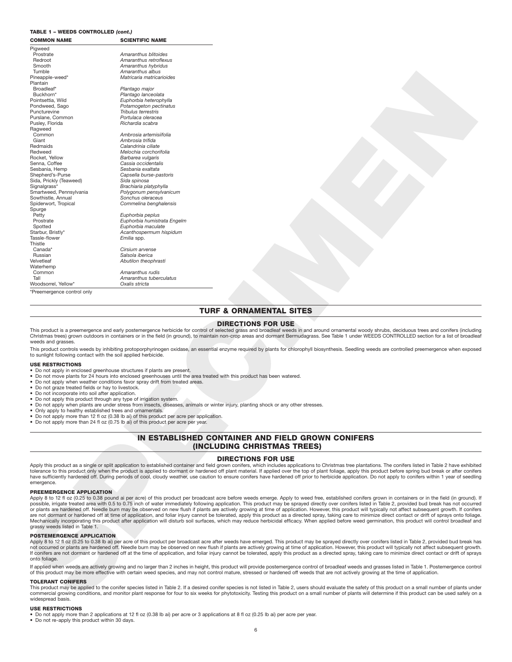# **TABLE 1 – WEEDS CONTROLLED** *(cont.)*

| <b>COMMON NAME</b>                                                                                                                                                                                                                                                                               | <b>SCIENTIFIC NAME</b>                                                                                                                                                                                                                                                                                                                                                                                                          |
|--------------------------------------------------------------------------------------------------------------------------------------------------------------------------------------------------------------------------------------------------------------------------------------------------|---------------------------------------------------------------------------------------------------------------------------------------------------------------------------------------------------------------------------------------------------------------------------------------------------------------------------------------------------------------------------------------------------------------------------------|
| Pigweed                                                                                                                                                                                                                                                                                          |                                                                                                                                                                                                                                                                                                                                                                                                                                 |
| Prostrate                                                                                                                                                                                                                                                                                        | Amaranthus blitoides                                                                                                                                                                                                                                                                                                                                                                                                            |
| Redroot<br>Smooth                                                                                                                                                                                                                                                                                | Amaranthus retroflexus<br>Amaranthus hybridus                                                                                                                                                                                                                                                                                                                                                                                   |
| Tumble                                                                                                                                                                                                                                                                                           | Amaranthus albus                                                                                                                                                                                                                                                                                                                                                                                                                |
| Pineapple-weed*                                                                                                                                                                                                                                                                                  | Matricaria matricarioides                                                                                                                                                                                                                                                                                                                                                                                                       |
| Plantain<br>Broadleaf*                                                                                                                                                                                                                                                                           | Plantago major                                                                                                                                                                                                                                                                                                                                                                                                                  |
| Buckhorn*                                                                                                                                                                                                                                                                                        | Plantago lanceolata                                                                                                                                                                                                                                                                                                                                                                                                             |
| Pointsettia, Wild                                                                                                                                                                                                                                                                                | Euphorbia heterophylla                                                                                                                                                                                                                                                                                                                                                                                                          |
| Pondweed, Sago<br>Puncturevine                                                                                                                                                                                                                                                                   | Potamogeton pectinatus<br>Tribulus terrestris                                                                                                                                                                                                                                                                                                                                                                                   |
| Purslane, Common                                                                                                                                                                                                                                                                                 | Portulaca oleracea                                                                                                                                                                                                                                                                                                                                                                                                              |
| Pusley, Florida                                                                                                                                                                                                                                                                                  | Richardia scabra                                                                                                                                                                                                                                                                                                                                                                                                                |
| Ragweed<br>Common                                                                                                                                                                                                                                                                                | Ambrosia artemisiifolia                                                                                                                                                                                                                                                                                                                                                                                                         |
| Giant                                                                                                                                                                                                                                                                                            | Ambrosia trifida                                                                                                                                                                                                                                                                                                                                                                                                                |
| Redmaids<br>Redweed                                                                                                                                                                                                                                                                              | Calandrinia ciliate                                                                                                                                                                                                                                                                                                                                                                                                             |
| Rocket, Yellow                                                                                                                                                                                                                                                                                   | Melochia corchorifolia<br>Barbarea vulgaris                                                                                                                                                                                                                                                                                                                                                                                     |
| Senna, Coffee                                                                                                                                                                                                                                                                                    | Cassia occidentalis                                                                                                                                                                                                                                                                                                                                                                                                             |
| Sesbania, Hemp<br>Shepherd's-Purse                                                                                                                                                                                                                                                               | Sesbania exaltata<br>Capsella burse-pastoris                                                                                                                                                                                                                                                                                                                                                                                    |
| Sida, Prickly (Teaweed)                                                                                                                                                                                                                                                                          | Sida spinosa                                                                                                                                                                                                                                                                                                                                                                                                                    |
| Signalgrass*                                                                                                                                                                                                                                                                                     | Brachiaria platyphylla                                                                                                                                                                                                                                                                                                                                                                                                          |
| Smartweed, Pennsylvania<br>Sowthistle, Annual                                                                                                                                                                                                                                                    | Polygonum pensylvanicum<br>Sonchus oleraceus                                                                                                                                                                                                                                                                                                                                                                                    |
| Spiderwort, Tropical                                                                                                                                                                                                                                                                             | Commelina benghalensis                                                                                                                                                                                                                                                                                                                                                                                                          |
| Spurge                                                                                                                                                                                                                                                                                           |                                                                                                                                                                                                                                                                                                                                                                                                                                 |
| Petty<br>Prostrate                                                                                                                                                                                                                                                                               | Euphorbia peplus<br>Euphorbia humistrata Engelm                                                                                                                                                                                                                                                                                                                                                                                 |
| Spotted                                                                                                                                                                                                                                                                                          | Euphorbia maculate                                                                                                                                                                                                                                                                                                                                                                                                              |
| Starbur, Bristly*                                                                                                                                                                                                                                                                                | Acanthospermum hispidum                                                                                                                                                                                                                                                                                                                                                                                                         |
| Tassle-flower<br>Thistle                                                                                                                                                                                                                                                                         | Emilia spp.                                                                                                                                                                                                                                                                                                                                                                                                                     |
| Canada*                                                                                                                                                                                                                                                                                          | Cirsium arvense                                                                                                                                                                                                                                                                                                                                                                                                                 |
| Russian                                                                                                                                                                                                                                                                                          | Salsola iberica                                                                                                                                                                                                                                                                                                                                                                                                                 |
| Velvetleaf<br>Waterhemp                                                                                                                                                                                                                                                                          | Abutilon theophrasti                                                                                                                                                                                                                                                                                                                                                                                                            |
| Common                                                                                                                                                                                                                                                                                           | Amaranthus rudis                                                                                                                                                                                                                                                                                                                                                                                                                |
| Tall<br>Woodsorrel, Yellow*                                                                                                                                                                                                                                                                      | Amaranthus tuberculatus<br>Oxalis stricta                                                                                                                                                                                                                                                                                                                                                                                       |
| *Preemergence control only                                                                                                                                                                                                                                                                       |                                                                                                                                                                                                                                                                                                                                                                                                                                 |
|                                                                                                                                                                                                                                                                                                  |                                                                                                                                                                                                                                                                                                                                                                                                                                 |
|                                                                                                                                                                                                                                                                                                  |                                                                                                                                                                                                                                                                                                                                                                                                                                 |
|                                                                                                                                                                                                                                                                                                  | <b>TURF &amp; ORNAMENTAL SITES</b>                                                                                                                                                                                                                                                                                                                                                                                              |
|                                                                                                                                                                                                                                                                                                  | <b>DIRECTIONS FOR USE</b>                                                                                                                                                                                                                                                                                                                                                                                                       |
|                                                                                                                                                                                                                                                                                                  |                                                                                                                                                                                                                                                                                                                                                                                                                                 |
|                                                                                                                                                                                                                                                                                                  | This product is a preemergence and early postemergence herbicide for control of selected grass and broadleaf weeds in and around ornamental woody shrubs, deciduous trees and conifers (including                                                                                                                                                                                                                               |
|                                                                                                                                                                                                                                                                                                  | Christmas trees) grown outdoors in containers or in the field (in ground), to maintain non-crop areas and dormant Bermudagrass. See Table 1 under WEEDS CONTROLLED section for a list of broadleaf                                                                                                                                                                                                                              |
|                                                                                                                                                                                                                                                                                                  |                                                                                                                                                                                                                                                                                                                                                                                                                                 |
|                                                                                                                                                                                                                                                                                                  | This product controls weeds by inhibiting protoporphyrinogen oxidase, an essential enzyme required by plants for chlorophyll biosynthesis. Seedling weeds are controlled preemergence when exposed                                                                                                                                                                                                                              |
|                                                                                                                                                                                                                                                                                                  |                                                                                                                                                                                                                                                                                                                                                                                                                                 |
|                                                                                                                                                                                                                                                                                                  | • Do not apply in enclosed greenhouse structures if plants are present.                                                                                                                                                                                                                                                                                                                                                         |
|                                                                                                                                                                                                                                                                                                  | . Do not move plants for 24 hours into enclosed greenhouses until the area treated with this product has been watered.                                                                                                                                                                                                                                                                                                          |
|                                                                                                                                                                                                                                                                                                  | . Do not apply when weather conditions favor spray drift from treated areas.                                                                                                                                                                                                                                                                                                                                                    |
|                                                                                                                                                                                                                                                                                                  |                                                                                                                                                                                                                                                                                                                                                                                                                                 |
|                                                                                                                                                                                                                                                                                                  |                                                                                                                                                                                                                                                                                                                                                                                                                                 |
| • Only apply to healthy established trees and ornamentals.                                                                                                                                                                                                                                       | . Do not apply when plants are under stress from insects, diseases, animals or winter injury, planting shock or any other stresses.                                                                                                                                                                                                                                                                                             |
| weeds and grasses.<br>to sunlight following contact with the soil applied herbicide.<br><b>USE RESTRICTIONS</b><br>• Do not graze treated fields or hay to livestock.<br>• Do not incorporate into soil after application.<br>• Do not apply this product through any type of irrigation system. | • Do not apply more than 12 fl oz (0.38 lb ai) of this product per acre per application.                                                                                                                                                                                                                                                                                                                                        |
|                                                                                                                                                                                                                                                                                                  | • Do not apply more than 24 fl oz (0.75 lb ai) of this product per acre per year.                                                                                                                                                                                                                                                                                                                                               |
|                                                                                                                                                                                                                                                                                                  |                                                                                                                                                                                                                                                                                                                                                                                                                                 |
|                                                                                                                                                                                                                                                                                                  | IN ESTABLISHED CONTAINER AND FIELD GROWN CONIFERS                                                                                                                                                                                                                                                                                                                                                                               |
|                                                                                                                                                                                                                                                                                                  | <b>(INCLUDING CHRISTMAS TREES)</b>                                                                                                                                                                                                                                                                                                                                                                                              |
|                                                                                                                                                                                                                                                                                                  | <b>DIRECTIONS FOR USE</b>                                                                                                                                                                                                                                                                                                                                                                                                       |
|                                                                                                                                                                                                                                                                                                  | Apply this product as a single or split application to established container and field grown conifers, which includes applications to Christmas tree plantations. The conifers listed in Table 2 have exhibited                                                                                                                                                                                                                 |
|                                                                                                                                                                                                                                                                                                  | tolerance to this product only when the product is applied to dormant or hardened off plant material. If applied over the top of plant foliage, apply this product before spring bud break or after conifers<br>have sufficiently hardened off. During periods of cool, cloudy weather, use caution to ensure conifers have hardened off prior to herbicide application. Do not apply to conifers within 1 year of seedling     |
| emergence.                                                                                                                                                                                                                                                                                       |                                                                                                                                                                                                                                                                                                                                                                                                                                 |
| PREEMERGENCE APPLICATION                                                                                                                                                                                                                                                                         |                                                                                                                                                                                                                                                                                                                                                                                                                                 |
|                                                                                                                                                                                                                                                                                                  | Apply 8 to 12 fl oz (0.25 to 0.38 pound ai per acre) of this product per broadcast acre before weeds emerge. Apply to weed free, established conifers grown in containers or in the field (in ground). If                                                                                                                                                                                                                       |
|                                                                                                                                                                                                                                                                                                  | possible, irrigate treated area with 0.5 to 0.75 inch of water immediately following application. This product may be sprayed directly over conifers listed in Table 2, provided bud break has not occurred                                                                                                                                                                                                                     |
|                                                                                                                                                                                                                                                                                                  | or plants are hardened off. Needle burn may be observed on new flush if plants are actively growing at time of application. However, this product will typically not affect subsequent growth. If conifers<br>are not dormant or hardened off at time of application, and foliar injury cannot be tolerated, apply this product as a directed spray, taking care to minimize direct contact or drift of sprays onto foliage.    |
|                                                                                                                                                                                                                                                                                                  | Mechanically incorporating this product after application will disturb soil surfaces, which may reduce herbicidal efficacy. When applied before weed germination, this product will control broadleaf and                                                                                                                                                                                                                       |
|                                                                                                                                                                                                                                                                                                  |                                                                                                                                                                                                                                                                                                                                                                                                                                 |
|                                                                                                                                                                                                                                                                                                  |                                                                                                                                                                                                                                                                                                                                                                                                                                 |
|                                                                                                                                                                                                                                                                                                  | Apply 8 to 12 fl oz (0.25 to 0.38 lb ai) per acre of this product per broadcast acre after weeds have emerged. This product may be sprayed directly over conifers listed in Table 2, provided bud break has                                                                                                                                                                                                                     |
|                                                                                                                                                                                                                                                                                                  | not occurred or plants are hardened off. Needle burn may be observed on new flush if plants are actively growing at time of application. However, this product will typically not affect subsequent growth.<br>If conifers are not dormant or hardened off at the time of application, and foliar injury cannot be tolerated, apply this product as a directed spray, taking care to minimize direct contact or drift of sprays |
|                                                                                                                                                                                                                                                                                                  |                                                                                                                                                                                                                                                                                                                                                                                                                                 |
|                                                                                                                                                                                                                                                                                                  | If applied when weeds are actively growing and no larger than 2 inches in height, this product will provide postemergence control of broadleaf weeds and grasses listed in Table 1. Postemergence control                                                                                                                                                                                                                       |
|                                                                                                                                                                                                                                                                                                  | of this product may be more effective with certain weed species, and may not control mature, stressed or hardened off weeds that are not actively growing at the time of application.                                                                                                                                                                                                                                           |
| grassy weeds listed in Table 1.<br><b>POSTEMERGENCE APPLICATION</b><br>onto foliage.<br><b>TOLERANT CONIFERS</b>                                                                                                                                                                                 |                                                                                                                                                                                                                                                                                                                                                                                                                                 |
|                                                                                                                                                                                                                                                                                                  | This product may be applied to the conifer species listed in Table 2. If a desired conifer species is not listed in Table 2, users should evaluate the safety of this product on a small number of plants under<br>commercial growing conditions, and monitor plant response for four to six weeks for phytotoxicity. Testing this product on a small number of plants will determine if this product can be used safely on a   |

# **TURF & ORNAMENTAL SITES**

### **DIRECTIONS FOR USE**

### **USE RESTRICTIONS**

- Do not apply in enclosed greenhouse structures if plants are present.
- Do not move plants for 24 hours into enclosed greenhouses until the area treated with this product has been watered. Do not apply when weather conditions favor spray drift from treated areas.
- 
- Do not graze treated fields or hay to livestock.
- Do not incorporate into soil after application.
- Do not apply this product through any type of irrigation system.
- Do not apply when plants are under stress from insects, diseases, animals or winter injury, planting shock or any other stresses.
- Only apply to healthy established trees and ornamentals.
- Do not apply more than 12 fl oz (0.38 lb ai) of this product per acre per application.
- Do not apply more than 24 fl oz (0.75 lb ai) of this product per acre per year.

# **IN ESTABLISHED CONTAINER AND FIELD GROWN CONIFERS (INCLUDING CHRISTMAS TREES)**

### **DIRECTIONS FOR USE**

### **PREEMERGENCE APPLICATION**

### **POSTEMERGENCE APPLICATION**

### **TOLERANT CONIFERS**

### **USE RESTRICTIONS**

• Do not apply more than 2 applications at 12 fl oz (0.38 lb ai) per acre or 3 applications at 8 fl oz (0.25 lb ai) per acre per year.

• Do not re-apply this product within 30 days.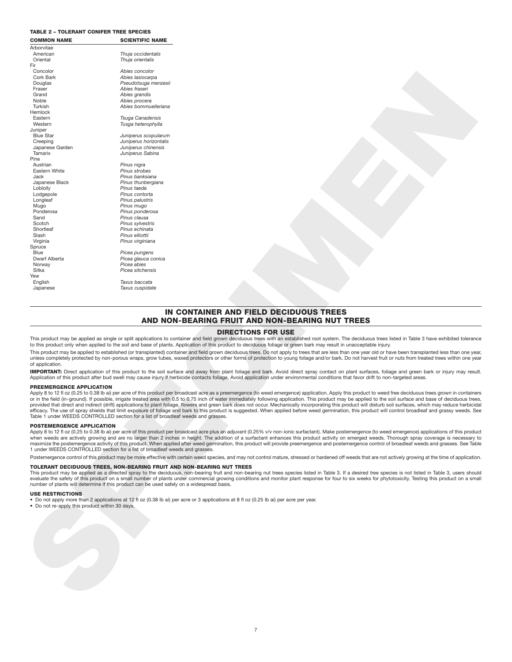### **TABLE 2 – TOLERANT CONIFER TREE SPECIES**

| <b>COMMON NAME</b><br>Arborvitae                                                                                                                      | <b>SCIENTIFIC NAME</b>                                                                    |                                                                                                                                                                                                                                                                                                                                                                                                                                                                                                                                                                                                                                                                                                                                                                                                                                                                                                                                                                                                                                                                                                                                                                                                                                                                                                                                                                                                                                                                                                                                                                                                                                                                                                                                                                                                                                                                                               |
|-------------------------------------------------------------------------------------------------------------------------------------------------------|-------------------------------------------------------------------------------------------|-----------------------------------------------------------------------------------------------------------------------------------------------------------------------------------------------------------------------------------------------------------------------------------------------------------------------------------------------------------------------------------------------------------------------------------------------------------------------------------------------------------------------------------------------------------------------------------------------------------------------------------------------------------------------------------------------------------------------------------------------------------------------------------------------------------------------------------------------------------------------------------------------------------------------------------------------------------------------------------------------------------------------------------------------------------------------------------------------------------------------------------------------------------------------------------------------------------------------------------------------------------------------------------------------------------------------------------------------------------------------------------------------------------------------------------------------------------------------------------------------------------------------------------------------------------------------------------------------------------------------------------------------------------------------------------------------------------------------------------------------------------------------------------------------------------------------------------------------------------------------------------------------|
| American                                                                                                                                              | Thuja occidentalis                                                                        |                                                                                                                                                                                                                                                                                                                                                                                                                                                                                                                                                                                                                                                                                                                                                                                                                                                                                                                                                                                                                                                                                                                                                                                                                                                                                                                                                                                                                                                                                                                                                                                                                                                                                                                                                                                                                                                                                               |
| Oriental                                                                                                                                              | Thuja orientalis                                                                          |                                                                                                                                                                                                                                                                                                                                                                                                                                                                                                                                                                                                                                                                                                                                                                                                                                                                                                                                                                                                                                                                                                                                                                                                                                                                                                                                                                                                                                                                                                                                                                                                                                                                                                                                                                                                                                                                                               |
| Fir                                                                                                                                                   |                                                                                           |                                                                                                                                                                                                                                                                                                                                                                                                                                                                                                                                                                                                                                                                                                                                                                                                                                                                                                                                                                                                                                                                                                                                                                                                                                                                                                                                                                                                                                                                                                                                                                                                                                                                                                                                                                                                                                                                                               |
| Concolor                                                                                                                                              | Abies concolor                                                                            |                                                                                                                                                                                                                                                                                                                                                                                                                                                                                                                                                                                                                                                                                                                                                                                                                                                                                                                                                                                                                                                                                                                                                                                                                                                                                                                                                                                                                                                                                                                                                                                                                                                                                                                                                                                                                                                                                               |
| Cork Bark<br>Douglas                                                                                                                                  | Abies lasiocarpa<br>Pseudotsuga menzesii                                                  |                                                                                                                                                                                                                                                                                                                                                                                                                                                                                                                                                                                                                                                                                                                                                                                                                                                                                                                                                                                                                                                                                                                                                                                                                                                                                                                                                                                                                                                                                                                                                                                                                                                                                                                                                                                                                                                                                               |
| Fraser                                                                                                                                                | Abies fraseri                                                                             |                                                                                                                                                                                                                                                                                                                                                                                                                                                                                                                                                                                                                                                                                                                                                                                                                                                                                                                                                                                                                                                                                                                                                                                                                                                                                                                                                                                                                                                                                                                                                                                                                                                                                                                                                                                                                                                                                               |
| Grand                                                                                                                                                 | Abies grandis                                                                             |                                                                                                                                                                                                                                                                                                                                                                                                                                                                                                                                                                                                                                                                                                                                                                                                                                                                                                                                                                                                                                                                                                                                                                                                                                                                                                                                                                                                                                                                                                                                                                                                                                                                                                                                                                                                                                                                                               |
| Noble                                                                                                                                                 | Abies procera                                                                             |                                                                                                                                                                                                                                                                                                                                                                                                                                                                                                                                                                                                                                                                                                                                                                                                                                                                                                                                                                                                                                                                                                                                                                                                                                                                                                                                                                                                                                                                                                                                                                                                                                                                                                                                                                                                                                                                                               |
| Turkish                                                                                                                                               | Abies bommuelleriana                                                                      |                                                                                                                                                                                                                                                                                                                                                                                                                                                                                                                                                                                                                                                                                                                                                                                                                                                                                                                                                                                                                                                                                                                                                                                                                                                                                                                                                                                                                                                                                                                                                                                                                                                                                                                                                                                                                                                                                               |
| Hemlock                                                                                                                                               |                                                                                           |                                                                                                                                                                                                                                                                                                                                                                                                                                                                                                                                                                                                                                                                                                                                                                                                                                                                                                                                                                                                                                                                                                                                                                                                                                                                                                                                                                                                                                                                                                                                                                                                                                                                                                                                                                                                                                                                                               |
| Eastern<br>Western                                                                                                                                    | Tsuga Canadensis<br>Tusga heterophylla                                                    |                                                                                                                                                                                                                                                                                                                                                                                                                                                                                                                                                                                                                                                                                                                                                                                                                                                                                                                                                                                                                                                                                                                                                                                                                                                                                                                                                                                                                                                                                                                                                                                                                                                                                                                                                                                                                                                                                               |
| Juniper                                                                                                                                               |                                                                                           |                                                                                                                                                                                                                                                                                                                                                                                                                                                                                                                                                                                                                                                                                                                                                                                                                                                                                                                                                                                                                                                                                                                                                                                                                                                                                                                                                                                                                                                                                                                                                                                                                                                                                                                                                                                                                                                                                               |
| <b>Blue Star</b>                                                                                                                                      | Juniperus scopularum                                                                      |                                                                                                                                                                                                                                                                                                                                                                                                                                                                                                                                                                                                                                                                                                                                                                                                                                                                                                                                                                                                                                                                                                                                                                                                                                                                                                                                                                                                                                                                                                                                                                                                                                                                                                                                                                                                                                                                                               |
| Creeping                                                                                                                                              | Juniperus horizontalis                                                                    |                                                                                                                                                                                                                                                                                                                                                                                                                                                                                                                                                                                                                                                                                                                                                                                                                                                                                                                                                                                                                                                                                                                                                                                                                                                                                                                                                                                                                                                                                                                                                                                                                                                                                                                                                                                                                                                                                               |
| Japanese Garden                                                                                                                                       | Juniperus chinensis                                                                       |                                                                                                                                                                                                                                                                                                                                                                                                                                                                                                                                                                                                                                                                                                                                                                                                                                                                                                                                                                                                                                                                                                                                                                                                                                                                                                                                                                                                                                                                                                                                                                                                                                                                                                                                                                                                                                                                                               |
| Tamarix<br>Pine                                                                                                                                       | Juniperus Sabina                                                                          |                                                                                                                                                                                                                                                                                                                                                                                                                                                                                                                                                                                                                                                                                                                                                                                                                                                                                                                                                                                                                                                                                                                                                                                                                                                                                                                                                                                                                                                                                                                                                                                                                                                                                                                                                                                                                                                                                               |
| Austrian                                                                                                                                              | Pinus nigra                                                                               |                                                                                                                                                                                                                                                                                                                                                                                                                                                                                                                                                                                                                                                                                                                                                                                                                                                                                                                                                                                                                                                                                                                                                                                                                                                                                                                                                                                                                                                                                                                                                                                                                                                                                                                                                                                                                                                                                               |
| Eastern White                                                                                                                                         | Pinus strobes                                                                             |                                                                                                                                                                                                                                                                                                                                                                                                                                                                                                                                                                                                                                                                                                                                                                                                                                                                                                                                                                                                                                                                                                                                                                                                                                                                                                                                                                                                                                                                                                                                                                                                                                                                                                                                                                                                                                                                                               |
| Jack                                                                                                                                                  | Pinus banksiana                                                                           |                                                                                                                                                                                                                                                                                                                                                                                                                                                                                                                                                                                                                                                                                                                                                                                                                                                                                                                                                                                                                                                                                                                                                                                                                                                                                                                                                                                                                                                                                                                                                                                                                                                                                                                                                                                                                                                                                               |
| Japanese Black                                                                                                                                        | Pinus thunbergiana                                                                        |                                                                                                                                                                                                                                                                                                                                                                                                                                                                                                                                                                                                                                                                                                                                                                                                                                                                                                                                                                                                                                                                                                                                                                                                                                                                                                                                                                                                                                                                                                                                                                                                                                                                                                                                                                                                                                                                                               |
| Loblolly                                                                                                                                              | Pinus taeda                                                                               |                                                                                                                                                                                                                                                                                                                                                                                                                                                                                                                                                                                                                                                                                                                                                                                                                                                                                                                                                                                                                                                                                                                                                                                                                                                                                                                                                                                                                                                                                                                                                                                                                                                                                                                                                                                                                                                                                               |
| Lodgepole                                                                                                                                             | Pinus contorta                                                                            |                                                                                                                                                                                                                                                                                                                                                                                                                                                                                                                                                                                                                                                                                                                                                                                                                                                                                                                                                                                                                                                                                                                                                                                                                                                                                                                                                                                                                                                                                                                                                                                                                                                                                                                                                                                                                                                                                               |
| Longleaf<br>Mugo                                                                                                                                      | Pinus palustris<br>Pinus mugo                                                             |                                                                                                                                                                                                                                                                                                                                                                                                                                                                                                                                                                                                                                                                                                                                                                                                                                                                                                                                                                                                                                                                                                                                                                                                                                                                                                                                                                                                                                                                                                                                                                                                                                                                                                                                                                                                                                                                                               |
| Ponderosa                                                                                                                                             | Pinus ponderosa                                                                           |                                                                                                                                                                                                                                                                                                                                                                                                                                                                                                                                                                                                                                                                                                                                                                                                                                                                                                                                                                                                                                                                                                                                                                                                                                                                                                                                                                                                                                                                                                                                                                                                                                                                                                                                                                                                                                                                                               |
| Sand                                                                                                                                                  | Pinus clausa                                                                              |                                                                                                                                                                                                                                                                                                                                                                                                                                                                                                                                                                                                                                                                                                                                                                                                                                                                                                                                                                                                                                                                                                                                                                                                                                                                                                                                                                                                                                                                                                                                                                                                                                                                                                                                                                                                                                                                                               |
| Scotch                                                                                                                                                | Pinus sylvestris                                                                          |                                                                                                                                                                                                                                                                                                                                                                                                                                                                                                                                                                                                                                                                                                                                                                                                                                                                                                                                                                                                                                                                                                                                                                                                                                                                                                                                                                                                                                                                                                                                                                                                                                                                                                                                                                                                                                                                                               |
| Shortleaf                                                                                                                                             | Pinus echinata                                                                            |                                                                                                                                                                                                                                                                                                                                                                                                                                                                                                                                                                                                                                                                                                                                                                                                                                                                                                                                                                                                                                                                                                                                                                                                                                                                                                                                                                                                                                                                                                                                                                                                                                                                                                                                                                                                                                                                                               |
| Slash                                                                                                                                                 | Pinus elliottii                                                                           |                                                                                                                                                                                                                                                                                                                                                                                                                                                                                                                                                                                                                                                                                                                                                                                                                                                                                                                                                                                                                                                                                                                                                                                                                                                                                                                                                                                                                                                                                                                                                                                                                                                                                                                                                                                                                                                                                               |
| Virginia<br>Spruce                                                                                                                                    | Pinus virginiana                                                                          |                                                                                                                                                                                                                                                                                                                                                                                                                                                                                                                                                                                                                                                                                                                                                                                                                                                                                                                                                                                                                                                                                                                                                                                                                                                                                                                                                                                                                                                                                                                                                                                                                                                                                                                                                                                                                                                                                               |
| Blue                                                                                                                                                  | Picea pungens                                                                             |                                                                                                                                                                                                                                                                                                                                                                                                                                                                                                                                                                                                                                                                                                                                                                                                                                                                                                                                                                                                                                                                                                                                                                                                                                                                                                                                                                                                                                                                                                                                                                                                                                                                                                                                                                                                                                                                                               |
| Dwarf Alberta                                                                                                                                         | Picea glauca conica                                                                       |                                                                                                                                                                                                                                                                                                                                                                                                                                                                                                                                                                                                                                                                                                                                                                                                                                                                                                                                                                                                                                                                                                                                                                                                                                                                                                                                                                                                                                                                                                                                                                                                                                                                                                                                                                                                                                                                                               |
| Norway                                                                                                                                                | Picea abies                                                                               |                                                                                                                                                                                                                                                                                                                                                                                                                                                                                                                                                                                                                                                                                                                                                                                                                                                                                                                                                                                                                                                                                                                                                                                                                                                                                                                                                                                                                                                                                                                                                                                                                                                                                                                                                                                                                                                                                               |
| Sitka                                                                                                                                                 | Picea sitchensis                                                                          |                                                                                                                                                                                                                                                                                                                                                                                                                                                                                                                                                                                                                                                                                                                                                                                                                                                                                                                                                                                                                                                                                                                                                                                                                                                                                                                                                                                                                                                                                                                                                                                                                                                                                                                                                                                                                                                                                               |
| Yew<br>English                                                                                                                                        | Taxus baccata                                                                             |                                                                                                                                                                                                                                                                                                                                                                                                                                                                                                                                                                                                                                                                                                                                                                                                                                                                                                                                                                                                                                                                                                                                                                                                                                                                                                                                                                                                                                                                                                                                                                                                                                                                                                                                                                                                                                                                                               |
| Japanese                                                                                                                                              | Taxus cuspidate                                                                           |                                                                                                                                                                                                                                                                                                                                                                                                                                                                                                                                                                                                                                                                                                                                                                                                                                                                                                                                                                                                                                                                                                                                                                                                                                                                                                                                                                                                                                                                                                                                                                                                                                                                                                                                                                                                                                                                                               |
|                                                                                                                                                       |                                                                                           |                                                                                                                                                                                                                                                                                                                                                                                                                                                                                                                                                                                                                                                                                                                                                                                                                                                                                                                                                                                                                                                                                                                                                                                                                                                                                                                                                                                                                                                                                                                                                                                                                                                                                                                                                                                                                                                                                               |
|                                                                                                                                                       |                                                                                           | <b>DIRECTIONS FOR USE</b>                                                                                                                                                                                                                                                                                                                                                                                                                                                                                                                                                                                                                                                                                                                                                                                                                                                                                                                                                                                                                                                                                                                                                                                                                                                                                                                                                                                                                                                                                                                                                                                                                                                                                                                                                                                                                                                                     |
|                                                                                                                                                       |                                                                                           | This product may be applied as single or split applications to container and field grown deciduous trees with an established root system. The deciduous trees listed in Table 3 have exhibited toleranc<br>to this product only when applied to the soil and base of plants. Application of this product to deciduous foliage or green bark may result in unacceptable injury.                                                                                                                                                                                                                                                                                                                                                                                                                                                                                                                                                                                                                                                                                                                                                                                                                                                                                                                                                                                                                                                                                                                                                                                                                                                                                                                                                                                                                                                                                                                |
|                                                                                                                                                       |                                                                                           | This product may be applied to established (or transplanted) container and field grown deciduous trees. Do not apply to trees that are less than one year old or have been transplanted less than one yea                                                                                                                                                                                                                                                                                                                                                                                                                                                                                                                                                                                                                                                                                                                                                                                                                                                                                                                                                                                                                                                                                                                                                                                                                                                                                                                                                                                                                                                                                                                                                                                                                                                                                     |
|                                                                                                                                                       |                                                                                           | unless completely protected by non-porous wraps, grow tubes, waxed protectors or other forms of protection to young foliage and/or bark. Do not harvest fruit or nuts from treated trees within one yea                                                                                                                                                                                                                                                                                                                                                                                                                                                                                                                                                                                                                                                                                                                                                                                                                                                                                                                                                                                                                                                                                                                                                                                                                                                                                                                                                                                                                                                                                                                                                                                                                                                                                       |
|                                                                                                                                                       |                                                                                           |                                                                                                                                                                                                                                                                                                                                                                                                                                                                                                                                                                                                                                                                                                                                                                                                                                                                                                                                                                                                                                                                                                                                                                                                                                                                                                                                                                                                                                                                                                                                                                                                                                                                                                                                                                                                                                                                                               |
|                                                                                                                                                       |                                                                                           | Application of this product after bud swell may cause injury if herbicide contacts foliage. Avoid application under environmental conditions that favor drift to non-targeted areas.                                                                                                                                                                                                                                                                                                                                                                                                                                                                                                                                                                                                                                                                                                                                                                                                                                                                                                                                                                                                                                                                                                                                                                                                                                                                                                                                                                                                                                                                                                                                                                                                                                                                                                          |
|                                                                                                                                                       |                                                                                           |                                                                                                                                                                                                                                                                                                                                                                                                                                                                                                                                                                                                                                                                                                                                                                                                                                                                                                                                                                                                                                                                                                                                                                                                                                                                                                                                                                                                                                                                                                                                                                                                                                                                                                                                                                                                                                                                                               |
|                                                                                                                                                       |                                                                                           |                                                                                                                                                                                                                                                                                                                                                                                                                                                                                                                                                                                                                                                                                                                                                                                                                                                                                                                                                                                                                                                                                                                                                                                                                                                                                                                                                                                                                                                                                                                                                                                                                                                                                                                                                                                                                                                                                               |
|                                                                                                                                                       |                                                                                           |                                                                                                                                                                                                                                                                                                                                                                                                                                                                                                                                                                                                                                                                                                                                                                                                                                                                                                                                                                                                                                                                                                                                                                                                                                                                                                                                                                                                                                                                                                                                                                                                                                                                                                                                                                                                                                                                                               |
|                                                                                                                                                       |                                                                                           |                                                                                                                                                                                                                                                                                                                                                                                                                                                                                                                                                                                                                                                                                                                                                                                                                                                                                                                                                                                                                                                                                                                                                                                                                                                                                                                                                                                                                                                                                                                                                                                                                                                                                                                                                                                                                                                                                               |
|                                                                                                                                                       |                                                                                           |                                                                                                                                                                                                                                                                                                                                                                                                                                                                                                                                                                                                                                                                                                                                                                                                                                                                                                                                                                                                                                                                                                                                                                                                                                                                                                                                                                                                                                                                                                                                                                                                                                                                                                                                                                                                                                                                                               |
|                                                                                                                                                       | Table 1 under WEEDS CONTROLLED section for a list of broadleaf weeds and grasses.         |                                                                                                                                                                                                                                                                                                                                                                                                                                                                                                                                                                                                                                                                                                                                                                                                                                                                                                                                                                                                                                                                                                                                                                                                                                                                                                                                                                                                                                                                                                                                                                                                                                                                                                                                                                                                                                                                                               |
|                                                                                                                                                       |                                                                                           |                                                                                                                                                                                                                                                                                                                                                                                                                                                                                                                                                                                                                                                                                                                                                                                                                                                                                                                                                                                                                                                                                                                                                                                                                                                                                                                                                                                                                                                                                                                                                                                                                                                                                                                                                                                                                                                                                               |
|                                                                                                                                                       |                                                                                           |                                                                                                                                                                                                                                                                                                                                                                                                                                                                                                                                                                                                                                                                                                                                                                                                                                                                                                                                                                                                                                                                                                                                                                                                                                                                                                                                                                                                                                                                                                                                                                                                                                                                                                                                                                                                                                                                                               |
|                                                                                                                                                       |                                                                                           |                                                                                                                                                                                                                                                                                                                                                                                                                                                                                                                                                                                                                                                                                                                                                                                                                                                                                                                                                                                                                                                                                                                                                                                                                                                                                                                                                                                                                                                                                                                                                                                                                                                                                                                                                                                                                                                                                               |
|                                                                                                                                                       | 1 under WEEDS CONTROLLED section for a list of broadleaf weeds and grasses.               |                                                                                                                                                                                                                                                                                                                                                                                                                                                                                                                                                                                                                                                                                                                                                                                                                                                                                                                                                                                                                                                                                                                                                                                                                                                                                                                                                                                                                                                                                                                                                                                                                                                                                                                                                                                                                                                                                               |
|                                                                                                                                                       |                                                                                           |                                                                                                                                                                                                                                                                                                                                                                                                                                                                                                                                                                                                                                                                                                                                                                                                                                                                                                                                                                                                                                                                                                                                                                                                                                                                                                                                                                                                                                                                                                                                                                                                                                                                                                                                                                                                                                                                                               |
|                                                                                                                                                       |                                                                                           | IMPORTANT: Direct application of this product to the soil surface and away from plant foliage and bark. Avoid direct spray contact on plant surfaces, foliage and green bark or injury may resul<br>Apply 8 to 12 fl oz (0.25 to 0.38 lb ai) per acre of this product per broadcast acre as a preemergence (to weed emergence) application. Apply this product to weed free deciduous trees grown in containe<br>or in the field (in-ground). If possible, irrigate treated area with 0.5 to 0.75 inch of water immediately following application. This product may be applied to the soil surface and base of deciduous tree<br>provided that direct and indirect (drift) applications to plant foliage, flowers and green bark does not occur. Mechanically incorporating this product will disturb soil surfaces, which may reduce herbicid<br>efficacy. The use of spray shields that limit exposure of foliage and bark to this product is suggested. When applied before weed germination, this product will control broadleaf and grassy weeds. Se<br>Apply 8 to 12 fl oz (0.25 to 0.38 lb ai) per acre of this product per broadcast acre plus an adjuvant (0.25% v/v non-ionic surfactant). Make postemergence (to weed emergence) applications of this produ<br>when weeds are actively growing and are no larger than 2 inches in height. The addition of a surfactant enhances this product activity on emerged weeds. Thorough spray coverage is necessary t<br>maximize the postemergence activity of this product. When applied after weed germination, this product will provide preemergence and postemergence control of broadleaf weeds and grasses. See Tab<br>Postemergence control of this product may be more effective with certain weed species, and may not control mature, stressed or hardened off weeds that are not actively growing at the time of application |
|                                                                                                                                                       | TOLERANT DECIDUOUS TREES, NON-BEARING FRUIT AND NON-BEARING NUT TREES                     |                                                                                                                                                                                                                                                                                                                                                                                                                                                                                                                                                                                                                                                                                                                                                                                                                                                                                                                                                                                                                                                                                                                                                                                                                                                                                                                                                                                                                                                                                                                                                                                                                                                                                                                                                                                                                                                                                               |
|                                                                                                                                                       |                                                                                           |                                                                                                                                                                                                                                                                                                                                                                                                                                                                                                                                                                                                                                                                                                                                                                                                                                                                                                                                                                                                                                                                                                                                                                                                                                                                                                                                                                                                                                                                                                                                                                                                                                                                                                                                                                                                                                                                                               |
|                                                                                                                                                       | number of plants will determine if this product can be used safely on a widespread basis. | This product may be applied as a directed spray to the deciduous, non-bearing fruit and non-bearing nut trees species listed in Table 3. If a desired tree species is not listed in Table 3, users shoul<br>evaluate the safety of this product on a small number of plants under commercial growing conditions and monitor plant response for four to six weeks for phytotoxicity. Testing this product on a sma                                                                                                                                                                                                                                                                                                                                                                                                                                                                                                                                                                                                                                                                                                                                                                                                                                                                                                                                                                                                                                                                                                                                                                                                                                                                                                                                                                                                                                                                             |
|                                                                                                                                                       |                                                                                           |                                                                                                                                                                                                                                                                                                                                                                                                                                                                                                                                                                                                                                                                                                                                                                                                                                                                                                                                                                                                                                                                                                                                                                                                                                                                                                                                                                                                                                                                                                                                                                                                                                                                                                                                                                                                                                                                                               |
|                                                                                                                                                       |                                                                                           | • Do not apply more than 2 applications at 12 fl oz (0.38 lb ai) per acre or 3 applications at 8 fl oz (0.25 lb ai) per acre per year.                                                                                                                                                                                                                                                                                                                                                                                                                                                                                                                                                                                                                                                                                                                                                                                                                                                                                                                                                                                                                                                                                                                                                                                                                                                                                                                                                                                                                                                                                                                                                                                                                                                                                                                                                        |
|                                                                                                                                                       |                                                                                           |                                                                                                                                                                                                                                                                                                                                                                                                                                                                                                                                                                                                                                                                                                                                                                                                                                                                                                                                                                                                                                                                                                                                                                                                                                                                                                                                                                                                                                                                                                                                                                                                                                                                                                                                                                                                                                                                                               |
|                                                                                                                                                       |                                                                                           |                                                                                                                                                                                                                                                                                                                                                                                                                                                                                                                                                                                                                                                                                                                                                                                                                                                                                                                                                                                                                                                                                                                                                                                                                                                                                                                                                                                                                                                                                                                                                                                                                                                                                                                                                                                                                                                                                               |
|                                                                                                                                                       |                                                                                           |                                                                                                                                                                                                                                                                                                                                                                                                                                                                                                                                                                                                                                                                                                                                                                                                                                                                                                                                                                                                                                                                                                                                                                                                                                                                                                                                                                                                                                                                                                                                                                                                                                                                                                                                                                                                                                                                                               |
|                                                                                                                                                       |                                                                                           |                                                                                                                                                                                                                                                                                                                                                                                                                                                                                                                                                                                                                                                                                                                                                                                                                                                                                                                                                                                                                                                                                                                                                                                                                                                                                                                                                                                                                                                                                                                                                                                                                                                                                                                                                                                                                                                                                               |
| of application.<br>PREEMERGENCE APPLICATION<br>POSTEMERGENCE APPLICATION<br><b>USE RESTRICTIONS</b><br>• Do not re-apply this product within 30 days. |                                                                                           |                                                                                                                                                                                                                                                                                                                                                                                                                                                                                                                                                                                                                                                                                                                                                                                                                                                                                                                                                                                                                                                                                                                                                                                                                                                                                                                                                                                                                                                                                                                                                                                                                                                                                                                                                                                                                                                                                               |
|                                                                                                                                                       |                                                                                           |                                                                                                                                                                                                                                                                                                                                                                                                                                                                                                                                                                                                                                                                                                                                                                                                                                                                                                                                                                                                                                                                                                                                                                                                                                                                                                                                                                                                                                                                                                                                                                                                                                                                                                                                                                                                                                                                                               |
|                                                                                                                                                       |                                                                                           |                                                                                                                                                                                                                                                                                                                                                                                                                                                                                                                                                                                                                                                                                                                                                                                                                                                                                                                                                                                                                                                                                                                                                                                                                                                                                                                                                                                                                                                                                                                                                                                                                                                                                                                                                                                                                                                                                               |
|                                                                                                                                                       |                                                                                           |                                                                                                                                                                                                                                                                                                                                                                                                                                                                                                                                                                                                                                                                                                                                                                                                                                                                                                                                                                                                                                                                                                                                                                                                                                                                                                                                                                                                                                                                                                                                                                                                                                                                                                                                                                                                                                                                                               |
|                                                                                                                                                       |                                                                                           |                                                                                                                                                                                                                                                                                                                                                                                                                                                                                                                                                                                                                                                                                                                                                                                                                                                                                                                                                                                                                                                                                                                                                                                                                                                                                                                                                                                                                                                                                                                                                                                                                                                                                                                                                                                                                                                                                               |
|                                                                                                                                                       |                                                                                           |                                                                                                                                                                                                                                                                                                                                                                                                                                                                                                                                                                                                                                                                                                                                                                                                                                                                                                                                                                                                                                                                                                                                                                                                                                                                                                                                                                                                                                                                                                                                                                                                                                                                                                                                                                                                                                                                                               |
|                                                                                                                                                       |                                                                                           |                                                                                                                                                                                                                                                                                                                                                                                                                                                                                                                                                                                                                                                                                                                                                                                                                                                                                                                                                                                                                                                                                                                                                                                                                                                                                                                                                                                                                                                                                                                                                                                                                                                                                                                                                                                                                                                                                               |
|                                                                                                                                                       |                                                                                           |                                                                                                                                                                                                                                                                                                                                                                                                                                                                                                                                                                                                                                                                                                                                                                                                                                                                                                                                                                                                                                                                                                                                                                                                                                                                                                                                                                                                                                                                                                                                                                                                                                                                                                                                                                                                                                                                                               |
|                                                                                                                                                       |                                                                                           |                                                                                                                                                                                                                                                                                                                                                                                                                                                                                                                                                                                                                                                                                                                                                                                                                                                                                                                                                                                                                                                                                                                                                                                                                                                                                                                                                                                                                                                                                                                                                                                                                                                                                                                                                                                                                                                                                               |

# **IN CONTAINER AND FIELD DECIDUOUS TREES AND NON-BEARING FRUIT AND NON-BEARING NUT TREES**

### **DIRECTIONS FOR USE**

### **PREEMERGENCE APPLICATION**

### **POSTEMERGENCE APPLICATION**

### **TOLERANT DECIDUOUS TREES, NON-BEARING FRUIT AND NON-BEARING NUT TREES**

### **USE RESTRICTIONS**

- Do not apply more than 2 applications at 12 fl oz (0.38 lb ai) per acre or 3 applications at 8 fl oz (0.25 lb ai) per acre per year. Do not re-apply this product within 30 days.
-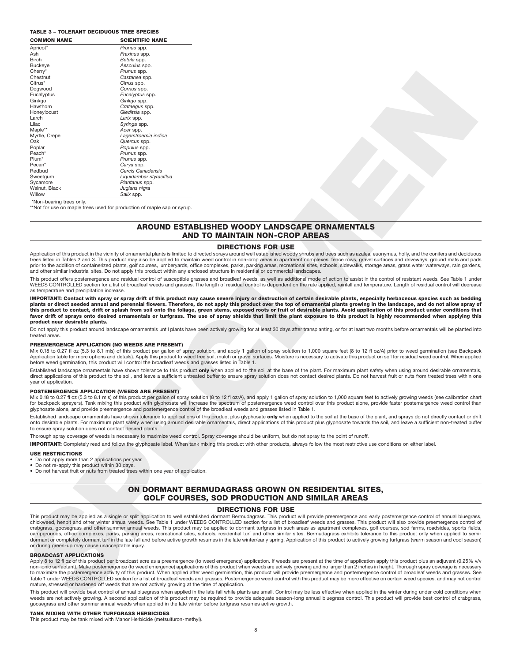### **TABLE 3 – TOLERANT DECIDUOUS TREE SPECIES**

| <b>COMMON NAME</b>                                                                                  | <b>SCIENTIFIC NAME</b>                                                                                |                                                                                                                                                                                                                                                                                                                                                                                                                                                                                                                                                                                                                                                                                                                                                                                                                                                                                                                                                                                                                            |
|-----------------------------------------------------------------------------------------------------|-------------------------------------------------------------------------------------------------------|----------------------------------------------------------------------------------------------------------------------------------------------------------------------------------------------------------------------------------------------------------------------------------------------------------------------------------------------------------------------------------------------------------------------------------------------------------------------------------------------------------------------------------------------------------------------------------------------------------------------------------------------------------------------------------------------------------------------------------------------------------------------------------------------------------------------------------------------------------------------------------------------------------------------------------------------------------------------------------------------------------------------------|
| Apricot*                                                                                            | Prunus spp.                                                                                           |                                                                                                                                                                                                                                                                                                                                                                                                                                                                                                                                                                                                                                                                                                                                                                                                                                                                                                                                                                                                                            |
| Ash                                                                                                 | Fraxinus spp.<br>Betula spp.                                                                          |                                                                                                                                                                                                                                                                                                                                                                                                                                                                                                                                                                                                                                                                                                                                                                                                                                                                                                                                                                                                                            |
| <b>Birch</b><br><b>Buckeve</b>                                                                      | Aesculus spp.                                                                                         |                                                                                                                                                                                                                                                                                                                                                                                                                                                                                                                                                                                                                                                                                                                                                                                                                                                                                                                                                                                                                            |
| Cherry*                                                                                             | Prunus spp.                                                                                           |                                                                                                                                                                                                                                                                                                                                                                                                                                                                                                                                                                                                                                                                                                                                                                                                                                                                                                                                                                                                                            |
| Chestnut                                                                                            | Castanea spp.                                                                                         |                                                                                                                                                                                                                                                                                                                                                                                                                                                                                                                                                                                                                                                                                                                                                                                                                                                                                                                                                                                                                            |
| Citrus*                                                                                             | Citrus spp.                                                                                           |                                                                                                                                                                                                                                                                                                                                                                                                                                                                                                                                                                                                                                                                                                                                                                                                                                                                                                                                                                                                                            |
| Dogwood                                                                                             | Cornus spp.                                                                                           |                                                                                                                                                                                                                                                                                                                                                                                                                                                                                                                                                                                                                                                                                                                                                                                                                                                                                                                                                                                                                            |
| Eucalyptus                                                                                          | Eucalyptus spp.                                                                                       |                                                                                                                                                                                                                                                                                                                                                                                                                                                                                                                                                                                                                                                                                                                                                                                                                                                                                                                                                                                                                            |
| Ginkgo<br>Hawthorn                                                                                  | Ginkgo spp.<br>Crataegus spp.                                                                         |                                                                                                                                                                                                                                                                                                                                                                                                                                                                                                                                                                                                                                                                                                                                                                                                                                                                                                                                                                                                                            |
| Honeylocust                                                                                         | Gleditsia spp.                                                                                        |                                                                                                                                                                                                                                                                                                                                                                                                                                                                                                                                                                                                                                                                                                                                                                                                                                                                                                                                                                                                                            |
| Larch                                                                                               | Larix spp.                                                                                            |                                                                                                                                                                                                                                                                                                                                                                                                                                                                                                                                                                                                                                                                                                                                                                                                                                                                                                                                                                                                                            |
| Lilac                                                                                               | Syringa spp.                                                                                          |                                                                                                                                                                                                                                                                                                                                                                                                                                                                                                                                                                                                                                                                                                                                                                                                                                                                                                                                                                                                                            |
| Maple**                                                                                             | Acer spp.                                                                                             |                                                                                                                                                                                                                                                                                                                                                                                                                                                                                                                                                                                                                                                                                                                                                                                                                                                                                                                                                                                                                            |
| Myrtle, Crepe<br>Oak                                                                                | Lagerstroemia indica<br>Quercus spp.                                                                  |                                                                                                                                                                                                                                                                                                                                                                                                                                                                                                                                                                                                                                                                                                                                                                                                                                                                                                                                                                                                                            |
| Poplar                                                                                              | Populus spp.                                                                                          |                                                                                                                                                                                                                                                                                                                                                                                                                                                                                                                                                                                                                                                                                                                                                                                                                                                                                                                                                                                                                            |
| Peach*                                                                                              | Prunus spp.                                                                                           |                                                                                                                                                                                                                                                                                                                                                                                                                                                                                                                                                                                                                                                                                                                                                                                                                                                                                                                                                                                                                            |
| Plum*                                                                                               | Prunus spp.                                                                                           |                                                                                                                                                                                                                                                                                                                                                                                                                                                                                                                                                                                                                                                                                                                                                                                                                                                                                                                                                                                                                            |
| Pecan*                                                                                              | Carya spp.                                                                                            |                                                                                                                                                                                                                                                                                                                                                                                                                                                                                                                                                                                                                                                                                                                                                                                                                                                                                                                                                                                                                            |
| Redbud<br>Sweetgum                                                                                  | Cercis Canadensis<br>Liquidambar styraciflua                                                          |                                                                                                                                                                                                                                                                                                                                                                                                                                                                                                                                                                                                                                                                                                                                                                                                                                                                                                                                                                                                                            |
| Sycamore                                                                                            | Plantanus spp.                                                                                        |                                                                                                                                                                                                                                                                                                                                                                                                                                                                                                                                                                                                                                                                                                                                                                                                                                                                                                                                                                                                                            |
| Walnut, Black                                                                                       | Juglans nigra                                                                                         |                                                                                                                                                                                                                                                                                                                                                                                                                                                                                                                                                                                                                                                                                                                                                                                                                                                                                                                                                                                                                            |
| Willow                                                                                              | Salix spp.                                                                                            |                                                                                                                                                                                                                                                                                                                                                                                                                                                                                                                                                                                                                                                                                                                                                                                                                                                                                                                                                                                                                            |
|                                                                                                     | **Not for use on maple trees used for production of maple sap or syrup.                               | AROUND ESTABLISHED WOODY LANDSCAPE ORNAMENTALS<br>AND TO MAINTAIN NON-CROP AREAS                                                                                                                                                                                                                                                                                                                                                                                                                                                                                                                                                                                                                                                                                                                                                                                                                                                                                                                                           |
|                                                                                                     |                                                                                                       |                                                                                                                                                                                                                                                                                                                                                                                                                                                                                                                                                                                                                                                                                                                                                                                                                                                                                                                                                                                                                            |
|                                                                                                     |                                                                                                       | <b>DIRECTIONS FOR USE</b><br>Application of this product in the vicinity of ornamental plants is limited to directed sprays around well established woody shrubs and trees such as azalea, euonymus, holly, and the conifers and deciduou                                                                                                                                                                                                                                                                                                                                                                                                                                                                                                                                                                                                                                                                                                                                                                                  |
|                                                                                                     |                                                                                                       | trees listed in Tables 2 and 3. This product may also be applied to maintain weed control in non-crop areas in apartment complexes, fence rows, gravel surfaces and driveways, ground mats and pac                                                                                                                                                                                                                                                                                                                                                                                                                                                                                                                                                                                                                                                                                                                                                                                                                         |
|                                                                                                     |                                                                                                       | prior to the addition of containerized plants, golf courses, lumberyards, office complexes, parks, parking areas, recreational sites, schools, sidewalks, storage areas, grass water waterways, rain garden<br>and other similar industrial sites. Do not apply this product within any enclosed structure in residential or commercial landscapes.                                                                                                                                                                                                                                                                                                                                                                                                                                                                                                                                                                                                                                                                        |
| as temperature and precipitation increase.                                                          |                                                                                                       | This product offers postemergence and residual control of susceptible grasses and broadleaf weeds, as well as additional mode of action to assist in the control of resistant weeds. See Table 1 unde<br>WEEDS CONTROLLED section for a list of broadleaf weeds and grasses. The length of residual control is dependent on the rate applied, rainfall and temperature. Length of residual control will decreas                                                                                                                                                                                                                                                                                                                                                                                                                                                                                                                                                                                                            |
| product near desirable plants.<br>treated areas.                                                    | PREEMERGENCE APPLICATION (NO WEEDS ARE PRESENT)                                                       | Do not apply this product around landscape ornamentals until plants have been actively growing for at least 30 days after transplanting, or for at least two months before ornamentals will be planted int<br>Mix 0.18 to 0.27 fl oz (5.3 to 8.1 mls) of this product per gallon of spray solution, and apply 1 gallon of spray solution to 1,000 square feet (8 to 12 fl oz/A) prior to weed germination (see Backpac                                                                                                                                                                                                                                                                                                                                                                                                                                                                                                                                                                                                     |
|                                                                                                     | before weed germination, this product will control the broadleaf weeds and grasses listed in Table 1. | Application table for more options and details). Apply this product to weed free soil, mulch or gravel surfaces. Moisture is necessary to activate this product on soil for residual weed control. When applie<br>Established landscape ornamentals have shown tolerance to this product only when applied to the soil at the base of the plant. For maximum plant safety when using around desirable ornamental                                                                                                                                                                                                                                                                                                                                                                                                                                                                                                                                                                                                           |
| year of application.                                                                                |                                                                                                       | direct applications of this product to the soil, and leave a sufficient untreated buffer to ensure spray solution does not contact desired plants. Do not harvest fruit or nuts from treated trees within on                                                                                                                                                                                                                                                                                                                                                                                                                                                                                                                                                                                                                                                                                                                                                                                                               |
|                                                                                                     | POSTEMERGENCE APPLICATION (WEEDS ARE PRESENT)                                                         | Mix 0.18 to 0.27 fl oz (5.3 to 8.1 mls) of this product per gallon of spray solution (8 to 12 fl oz/A), and apply 1 gallon of spray solution to 1,000 square feet to actively growing weeds (see calibration cha<br>for backpack sprayers). Tank mixing this product with glyphosate will increase the spectrum of postemergence weed control over this product alone, provide faster postemergence weed control tha<br>glyphosate alone, and provide preemergence and postemergence control of the broadleaf weeds and grasses listed in Table 1.                                                                                                                                                                                                                                                                                                                                                                                                                                                                         |
| to ensure spray solution does not contact desired plants.                                           |                                                                                                       | Established landscape ornamentals have shown tolerance to applications of this product plus glyphosate only when applied to the soil at the base of the plant, and sprays do not directly contact or dri<br>onto desirable plants. For maximum plant safety when using around desirable ornamentals, direct applications of this product plus glyphosate towards the soil, and leave a sufficient non-treated buffe                                                                                                                                                                                                                                                                                                                                                                                                                                                                                                                                                                                                        |
|                                                                                                     |                                                                                                       | Thorough spray coverage of weeds is necessary to maximize weed control. Spray coverage should be uniform, but do not spray to the point of runoff.<br><b>IMPORTANT:</b> Completely read and follow the glyphosate label. When tank mixing this product with other products, always follow the most restrictive use conditions on either label.                                                                                                                                                                                                                                                                                                                                                                                                                                                                                                                                                                                                                                                                             |
| <b>USE RESTRICTIONS</b>                                                                             |                                                                                                       |                                                                                                                                                                                                                                                                                                                                                                                                                                                                                                                                                                                                                                                                                                                                                                                                                                                                                                                                                                                                                            |
| • Do not apply more than 2 applications per year.<br>• Do not re-apply this product within 30 days. | • Do not harvest fruit or nuts from treated trees within one year of application.                     |                                                                                                                                                                                                                                                                                                                                                                                                                                                                                                                                                                                                                                                                                                                                                                                                                                                                                                                                                                                                                            |
|                                                                                                     |                                                                                                       | ON DORMANT BERMUDAGRASS GROWN ON RESIDENTIAL SITES.<br><b>GOLF COURSES, SOD PRODUCTION AND SIMILAR AREAS</b>                                                                                                                                                                                                                                                                                                                                                                                                                                                                                                                                                                                                                                                                                                                                                                                                                                                                                                               |
|                                                                                                     |                                                                                                       | <b>DIRECTIONS FOR USE</b>                                                                                                                                                                                                                                                                                                                                                                                                                                                                                                                                                                                                                                                                                                                                                                                                                                                                                                                                                                                                  |
| or during green-up may cause unacceptable injury.                                                   |                                                                                                       | This product may be applied as a single or split application to well established dormant Bermudagrass. This product will provide preemergence and early postemergence control of annual bluegras:<br>chickweed, henbit and other winter annual weeds. See Table 1 under WEEDS CONTROLLED section for a list of broadleaf weeds and grasses. This product will also provide preemergence control of<br>crabgrass, goosegrass and other summer annual weeds. This product may be applied to dormant turfgrass in such areas as apartment complexes, golf courses, sod farms, roadsides, sports field<br>campgrounds, office complexes, parks, parking areas, recreational sites, schools, residential turf and other similar sites. Bermudagrass exhibits tolerance to this product only when applied to sem<br>dormant or completely dormant turf in the late fall and before active growth resumes in the late winter/early spring. Application of this product to actively growing turfgrass (warm season and cool seasor |
|                                                                                                     |                                                                                                       |                                                                                                                                                                                                                                                                                                                                                                                                                                                                                                                                                                                                                                                                                                                                                                                                                                                                                                                                                                                                                            |
| <b>BROADCAST APPLICATIONS</b>                                                                       | mature, stressed or hardened off weeds that are not actively growing at the time of application.      | Apply 8 to 12 fl oz of this product per broadcast acre as a preemergence (to weed emergence) application. If weeds are present at the time of application apply this product plus an adjuvant (0.25% v<br>non-ionic surfactant). Make postemergence (to weed emergence) applications of this product when weeds are actively growing and no larger than 2 inches in height. Thorough spray coverage is necessa<br>to maximize the postemergence activity of this product. When applied after weed germination, this product will provide preemergence and postemergence control of broadleaf weeds and grasses. Se<br>Table 1 under WEEDS CONTROLLED section for a list of broadleaf weeds and grasses. Postemergence weed control with this product may be more effective on certain weed species, and may not control                                                                                                                                                                                                    |
|                                                                                                     |                                                                                                       | This product will provide best control of annual bluegrass when applied in the late fall while plants are small. Control may be less effective when applied in the winter during under cold conditions whe<br>weeds are not actively growing. A second application of this product may be required to provide adequate season-long annual bluegrass control. This product will provide best control of crabgras:                                                                                                                                                                                                                                                                                                                                                                                                                                                                                                                                                                                                           |

# **AROUND ESTABLISHED WOODY LANDSCAPE ORNAMENTALS AND TO MAINTAIN NON-CROP AREAS**

# **DIRECTIONS FOR USE**

### **PREEMERGENCE APPLICATION (NO WEEDS ARE PRESENT)**

### **POSTEMERGENCE APPLICATION (WEEDS ARE PRESENT)**

### **USE RESTRICTIONS**

# **ON DORMANT BERMUDAGRASS GROWN ON RESIDENTIAL SITES, GOLF COURSES, SOD PRODUCTION AND SIMILAR AREAS**

# **DIRECTIONS FOR USE**

### **BROADCAST APPLICATIONS**

This product will provide best control of annual bluegrass when applied in the late fall while plants are small. Control may be less effective when applied in the winter during under cold conditions when weeds are not actively growing. A second application of this product may be required to provide adequate season-long annual bluegrass control. This product will provide best control of crabgrass, goosegrass and other summer annual weeds when applied in the late winter before turfgrass resumes active growth.

### **TANK MIXING WITH OTHER TURFGRASS HERBICIDES**

This product may be tank mixed with Manor Herbicide (metsulfuron-methyl).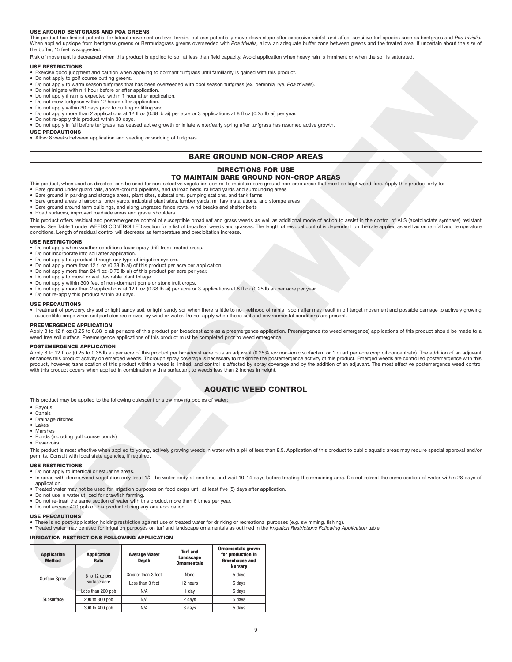### **USE AROUND BENTGRASS AND POA GREENS**

This product has limited potential for lateral movement on level terrain, but can potentially move down slope after excessive rainfall and affect sensitive turf species such as bentgrass and *Poa trivialis.* When applied upslope from bentgrass greens or Bermudagrass greens overseeded with Poa trivialis, allow an adequate buffer zone between greens and the treated area. If uncertain about the size of the buffer, 15 feet is suggested.

Risk of movement is decreased when this product is applied to soil at less than field capacity. Avoid application when heavy rain is imminent or when the soil is saturated.

### **USE RESTRICTIONS**

- Exercise good judgment and caution when applying to dormant turfgrass until familiarity is gained with this product.
- 
- Do not apply to golf course putting greens. Do not apply to warm season turfgrass that has been overseeded with cool season turfgrass (ex. perennial rye, *Poa trivialis*).
- Do not irrigate within 1 hour before or after application.
- Do not apply if rain is expected within 1 hour after application. • Do not mow turfgrass within 12 hours after application.
- 
- Do not apply within 30 days prior to cutting or lifting sod. Do not apply more than 2 applications at 12 fl oz (0.38 lb ai) per acre or 3 applications at 8 fl oz (0.25 lb ai) per year.
- Do not re-apply this product within 30 days.
- Do not apply in fall before turfgrass has ceased active growth or in late winter/early spring after turfgrass has resumed active growth.
- **USE PRECAUTIONS**
- Allow 8 weeks between application and seeding or sodding of turfgrass.

# **BARE GROUND NON-CROP AREAS**

# **DIRECTIONS FOR USE**

## **TO MAINTAIN BARE GROUND NON-CROP AREAS**

- This product, when used as directed, can be used for non-selective vegetation control to maintain bare ground non-crop areas that must be kept weed-free. Apply this product only to:
- Bare ground under guard rails, above-ground pipelines, and railroad beds, railroad yards and surrounding areas
- Bare ground in parking and storage areas, plant sites, substations, pumping stations, and tank farms
- Bare ground areas of airports, brick yards, industrial plant sites, lumber yards, military installations, and storage areas • Bare ground around farm buildings, and along ungrazed fence rows, wind breaks and shelter belts
- Road surfaces, improved roadside areas and gravel shoulders.

### **USE RESTRICTIONS**

- Do not apply when weather conditions favor spray drift from treated areas.
- Do not incorporate into soil after application.
- Do not apply this product through any type of irrigation system.
- Do not apply more than 12 fl oz (0.38 lb ai) of this product per acre per application. • Do not apply more than 24 fl oz (0.75 lb ai) of this product per acre per year.
- Do not apply to moist or wet desirable plant foliage.
- Do not apply within 300 feet of non-dormant pome or stone fruit crops.
- Do not apply more than 2 applications at 12 fl oz (0.38 lb ai) per acre or 3 applications at 8 fl oz (0.25 lb ai) per acre per year.
- Do not re-apply this product within 30 days.

### **USE PRECAUTIONS**

### **PREEMERGENCE APPLICATION**

### **POSTEMERGENCE APPLICATION**

# **AQUATIC WEED CONTROL**

- Bayous
- Canals
- Drainage ditches • Lakes
- Marshes
- Ponds (including golf course ponds)

- **USE RESTRICTIONS**
- Do not apply to intertidal or estuarine areas.
- In areas with dense weed vegetation only treat 1/2 the water body at one time and wait 10-14 days before treating the remaining area. Do not retreat the same section of water within 28 days of application.
- Treated water may not be used for irrigation purposes on food crops until at least five (5) days after application.
- 
- Do not use in water utilized for crawfish farming. Do not re-treat the same section of water with this product more than 6 times per year.
- Do not exceed 400 ppb of this product during any one application.

### **USE PRECAUTIONS**

### **IRRIGATION RESTRICTIONS FOLLOWING APPLICATION**

|                                     |                                                                                                                                                                               |                               |                                                    | • Exercise good judgment and caution when applying to dormant turfgrass until familiarity is gained with this product.                                                                                                                                                                                                                                      |                                                                                                                                                                                                                                                                                                                                                                                                                                                                                                                                                                                                                           |
|-------------------------------------|-------------------------------------------------------------------------------------------------------------------------------------------------------------------------------|-------------------------------|----------------------------------------------------|-------------------------------------------------------------------------------------------------------------------------------------------------------------------------------------------------------------------------------------------------------------------------------------------------------------------------------------------------------------|---------------------------------------------------------------------------------------------------------------------------------------------------------------------------------------------------------------------------------------------------------------------------------------------------------------------------------------------------------------------------------------------------------------------------------------------------------------------------------------------------------------------------------------------------------------------------------------------------------------------------|
|                                     | • Do not apply to golf course putting greens.                                                                                                                                 |                               |                                                    | • Do not apply to warm season turforass that has been overseeded with cool season turforass (ex. perennial rve. Poa trivialis).                                                                                                                                                                                                                             |                                                                                                                                                                                                                                                                                                                                                                                                                                                                                                                                                                                                                           |
|                                     | • Do not irrigate within 1 hour before or after application.                                                                                                                  |                               |                                                    |                                                                                                                                                                                                                                                                                                                                                             |                                                                                                                                                                                                                                                                                                                                                                                                                                                                                                                                                                                                                           |
|                                     | • Do not apply if rain is expected within 1 hour after application.<br>• Do not mow turfgrass within 12 hours after application.                                              |                               |                                                    |                                                                                                                                                                                                                                                                                                                                                             |                                                                                                                                                                                                                                                                                                                                                                                                                                                                                                                                                                                                                           |
|                                     | • Do not apply within 30 days prior to cutting or lifting sod.                                                                                                                |                               |                                                    |                                                                                                                                                                                                                                                                                                                                                             |                                                                                                                                                                                                                                                                                                                                                                                                                                                                                                                                                                                                                           |
|                                     | • Do not re-apply this product within 30 days.                                                                                                                                |                               |                                                    | • Do not apply more than 2 applications at 12 fl oz (0.38 lb ai) per acre or 3 applications at 8 fl oz (0.25 lb ai) per year.                                                                                                                                                                                                                               |                                                                                                                                                                                                                                                                                                                                                                                                                                                                                                                                                                                                                           |
|                                     |                                                                                                                                                                               |                               |                                                    |                                                                                                                                                                                                                                                                                                                                                             | . Do not apply in fall before turfgrass has ceased active growth or in late winter/early spring after turfgrass has resumed active growth.                                                                                                                                                                                                                                                                                                                                                                                                                                                                                |
| <b>USE PRECAUTIONS</b>              | • Allow 8 weeks between application and seeding or sodding of turfgrass.                                                                                                      |                               |                                                    |                                                                                                                                                                                                                                                                                                                                                             |                                                                                                                                                                                                                                                                                                                                                                                                                                                                                                                                                                                                                           |
|                                     |                                                                                                                                                                               |                               |                                                    |                                                                                                                                                                                                                                                                                                                                                             |                                                                                                                                                                                                                                                                                                                                                                                                                                                                                                                                                                                                                           |
|                                     |                                                                                                                                                                               |                               |                                                    |                                                                                                                                                                                                                                                                                                                                                             | <b>BARE GROUND NON-CROP AREAS</b>                                                                                                                                                                                                                                                                                                                                                                                                                                                                                                                                                                                         |
|                                     |                                                                                                                                                                               |                               |                                                    | <b>DIRECTIONS FOR USE</b>                                                                                                                                                                                                                                                                                                                                   |                                                                                                                                                                                                                                                                                                                                                                                                                                                                                                                                                                                                                           |
|                                     |                                                                                                                                                                               |                               |                                                    | • Bare ground under guard rails, above-ground pipelines, and railroad beds, railroad yards and surrounding areas<br>• Bare ground in parking and storage areas, plant sites, substations, pumping stations, and tank farms<br>• Bare ground areas of airports, brick yards, industrial plant sites, lumber yards, military installations, and storage areas | TO MAINTAIN BARE GROUND NON-CROP AREAS<br>This product, when used as directed, can be used for non-selective vegetation control to maintain bare ground non-crop areas that must be kept weed-free. Apply this product only to:                                                                                                                                                                                                                                                                                                                                                                                           |
|                                     | • Road surfaces, improved roadside areas and gravel shoulders.                                                                                                                |                               |                                                    | • Bare ground around farm buildings, and along ungrazed fence rows, wind breaks and shelter belts                                                                                                                                                                                                                                                           |                                                                                                                                                                                                                                                                                                                                                                                                                                                                                                                                                                                                                           |
|                                     | conditions. Length of residual control will decrease as temperature and precipitation increase.                                                                               |                               |                                                    |                                                                                                                                                                                                                                                                                                                                                             | This product offers residual and postemergence control of susceptible broadleaf and grass weeds as well as additional mode of action to assist in the control of ALS (acetolactate synthase) resistar<br>weeds. See Table 1 under WEEDS CONTROLLED section for a list of broadleaf weeds and grasses. The length of residual control is dependent on the rate applied as well as on rainfall and temperatur                                                                                                                                                                                                               |
| <b>USE RESTRICTIONS</b>             |                                                                                                                                                                               |                               |                                                    |                                                                                                                                                                                                                                                                                                                                                             |                                                                                                                                                                                                                                                                                                                                                                                                                                                                                                                                                                                                                           |
|                                     | • Do not apply when weather conditions favor spray drift from treated areas.<br>• Do not incorporate into soil after application.                                             |                               |                                                    |                                                                                                                                                                                                                                                                                                                                                             |                                                                                                                                                                                                                                                                                                                                                                                                                                                                                                                                                                                                                           |
|                                     | • Do not apply this product through any type of irrigation system.                                                                                                            |                               |                                                    |                                                                                                                                                                                                                                                                                                                                                             |                                                                                                                                                                                                                                                                                                                                                                                                                                                                                                                                                                                                                           |
|                                     | • Do not apply more than 12 fl oz (0.38 lb ai) of this product per acre per application.<br>• Do not apply more than 24 fl oz (0.75 lb ai) of this product per acre per year. |                               |                                                    |                                                                                                                                                                                                                                                                                                                                                             |                                                                                                                                                                                                                                                                                                                                                                                                                                                                                                                                                                                                                           |
|                                     | • Do not apply to moist or wet desirable plant foliage.                                                                                                                       |                               |                                                    |                                                                                                                                                                                                                                                                                                                                                             |                                                                                                                                                                                                                                                                                                                                                                                                                                                                                                                                                                                                                           |
|                                     | . Do not apply within 300 feet of non-dormant pome or stone fruit crops.                                                                                                      |                               |                                                    | • Do not apply more than 2 applications at 12 fl oz (0.38 lb ai) per acre or 3 applications at 8 fl oz (0.25 lb ai) per acre per year.                                                                                                                                                                                                                      |                                                                                                                                                                                                                                                                                                                                                                                                                                                                                                                                                                                                                           |
|                                     | • Do not re-apply this product within 30 days.                                                                                                                                |                               |                                                    |                                                                                                                                                                                                                                                                                                                                                             |                                                                                                                                                                                                                                                                                                                                                                                                                                                                                                                                                                                                                           |
| <b>USE PRECAUTIONS</b>              |                                                                                                                                                                               |                               |                                                    |                                                                                                                                                                                                                                                                                                                                                             | . Treatment of powdery, dry soil or light sandy soil, or light sandy soil when there is little to no likelihood of rainfall soon after may result in off target movement and possible damage to actively growin<br>susceptible crops when soil particles are moved by wind or water. Do not apply when these soil and environmental conditions are present.                                                                                                                                                                                                                                                               |
| PREEMERGENCE APPLICATION            |                                                                                                                                                                               |                               |                                                    |                                                                                                                                                                                                                                                                                                                                                             |                                                                                                                                                                                                                                                                                                                                                                                                                                                                                                                                                                                                                           |
|                                     |                                                                                                                                                                               |                               |                                                    | weed free soil surface. Preemergence applications of this product must be completed prior to weed emergence.                                                                                                                                                                                                                                                | Apply 8 to 12 fl oz (0.25 to 0.38 lb ai) per acre of this product per broadcast acre as a preemergence application. Preemergence (to weed emergence) applications of this product should be made to                                                                                                                                                                                                                                                                                                                                                                                                                       |
| <b>POSTEMERGENCE APPLICATION</b>    |                                                                                                                                                                               |                               |                                                    |                                                                                                                                                                                                                                                                                                                                                             |                                                                                                                                                                                                                                                                                                                                                                                                                                                                                                                                                                                                                           |
|                                     |                                                                                                                                                                               |                               |                                                    | with this product occurs when applied in combination with a surfactant to weeds less than 2 inches in height.                                                                                                                                                                                                                                               | Apply 8 to 12 fl oz (0.25 to 0.38 lb ai) per acre of this product per broadcast acre plus an adjuvant (0.25% v/v non-ionic surfactant or 1 quart per acre crop oil concentrate). The addition of an adjuvant<br>enhances this product activity on emerged weeds. Thorough spray coverage is necessary to maximize the postemergence activity of this product. Emerged weeds are controlled postemergence with th<br>product, however, translocation of this product within a weed is limited, and control is affected by spray coverage and by the addition of an adjuvant. The most effective postemergence weed control |
|                                     |                                                                                                                                                                               |                               |                                                    |                                                                                                                                                                                                                                                                                                                                                             |                                                                                                                                                                                                                                                                                                                                                                                                                                                                                                                                                                                                                           |
|                                     |                                                                                                                                                                               |                               |                                                    | <b>AQUATIC WEED CONTROL</b>                                                                                                                                                                                                                                                                                                                                 |                                                                                                                                                                                                                                                                                                                                                                                                                                                                                                                                                                                                                           |
|                                     | This product may be applied to the following quiescent or slow moving bodies of water:                                                                                        |                               |                                                    |                                                                                                                                                                                                                                                                                                                                                             |                                                                                                                                                                                                                                                                                                                                                                                                                                                                                                                                                                                                                           |
| • Bavous                            |                                                                                                                                                                               |                               |                                                    |                                                                                                                                                                                                                                                                                                                                                             |                                                                                                                                                                                                                                                                                                                                                                                                                                                                                                                                                                                                                           |
| • Canals<br>• Drainage ditches      |                                                                                                                                                                               |                               |                                                    |                                                                                                                                                                                                                                                                                                                                                             |                                                                                                                                                                                                                                                                                                                                                                                                                                                                                                                                                                                                                           |
| • Lakes<br>• Marshes                |                                                                                                                                                                               |                               |                                                    |                                                                                                                                                                                                                                                                                                                                                             |                                                                                                                                                                                                                                                                                                                                                                                                                                                                                                                                                                                                                           |
|                                     | • Ponds (including golf course ponds)                                                                                                                                         |                               |                                                    |                                                                                                                                                                                                                                                                                                                                                             |                                                                                                                                                                                                                                                                                                                                                                                                                                                                                                                                                                                                                           |
| • Reservoirs                        |                                                                                                                                                                               |                               |                                                    |                                                                                                                                                                                                                                                                                                                                                             |                                                                                                                                                                                                                                                                                                                                                                                                                                                                                                                                                                                                                           |
|                                     | permits. Consult with local state agencies, if required.                                                                                                                      |                               |                                                    |                                                                                                                                                                                                                                                                                                                                                             | This product is most effective when applied to young, actively growing weeds in water with a pH of less than 8.5. Application of this product to public aquatic areas may require special approval and/                                                                                                                                                                                                                                                                                                                                                                                                                   |
| <b>USE RESTRICTIONS</b>             |                                                                                                                                                                               |                               |                                                    |                                                                                                                                                                                                                                                                                                                                                             |                                                                                                                                                                                                                                                                                                                                                                                                                                                                                                                                                                                                                           |
| application.                        | • Do not apply to intertidal or estuarine areas.                                                                                                                              |                               |                                                    |                                                                                                                                                                                                                                                                                                                                                             | • In areas with dense weed vegetation only treat 1/2 the water body at one time and wait 10-14 days before treating the remaining area. Do not retreat the same section of water within 28 days of                                                                                                                                                                                                                                                                                                                                                                                                                        |
|                                     |                                                                                                                                                                               |                               |                                                    | • Treated water may not be used for irrigation purposes on food crops until at least five (5) days after application.                                                                                                                                                                                                                                       |                                                                                                                                                                                                                                                                                                                                                                                                                                                                                                                                                                                                                           |
|                                     | • Do not use in water utilized for crawfish farming.<br>• Do not re-treat the same section of water with this product more than 6 times per year.                             |                               |                                                    |                                                                                                                                                                                                                                                                                                                                                             |                                                                                                                                                                                                                                                                                                                                                                                                                                                                                                                                                                                                                           |
|                                     | • Do not exceed 400 ppb of this product during any one application.                                                                                                           |                               |                                                    |                                                                                                                                                                                                                                                                                                                                                             |                                                                                                                                                                                                                                                                                                                                                                                                                                                                                                                                                                                                                           |
| <b>USE PRECAUTIONS</b>              |                                                                                                                                                                               |                               |                                                    |                                                                                                                                                                                                                                                                                                                                                             | • There is no post-application holding restriction against use of treated water for drinking or recreational purposes (e.g. swimming, fishing).                                                                                                                                                                                                                                                                                                                                                                                                                                                                           |
|                                     |                                                                                                                                                                               |                               |                                                    |                                                                                                                                                                                                                                                                                                                                                             | . Treated water may be used for irrigation purposes on turf and landscape ornamentals as outlined in the Irrigation Restrictions Following Application table.                                                                                                                                                                                                                                                                                                                                                                                                                                                             |
|                                     | IRRIGATION RESTRICTIONS FOLLOWING APPLICATION                                                                                                                                 |                               |                                                    |                                                                                                                                                                                                                                                                                                                                                             |                                                                                                                                                                                                                                                                                                                                                                                                                                                                                                                                                                                                                           |
| <b>Application</b><br><b>Method</b> | <b>Application</b><br>Rate                                                                                                                                                    | <b>Average Water</b><br>Depth | <b>Turf and</b><br>Landscape<br><b>Ornamentals</b> | <b>Ornamentals grown</b><br>for production in<br><b>Greenhouse and</b><br><b>Nursery</b>                                                                                                                                                                                                                                                                    |                                                                                                                                                                                                                                                                                                                                                                                                                                                                                                                                                                                                                           |
|                                     | 6 to 12 oz per                                                                                                                                                                | Greater than 3 feet           | None                                               | 5 days                                                                                                                                                                                                                                                                                                                                                      |                                                                                                                                                                                                                                                                                                                                                                                                                                                                                                                                                                                                                           |
| Surface Spray                       | surface acre                                                                                                                                                                  | Less than 3 feet              | 12 hours                                           | 5 days                                                                                                                                                                                                                                                                                                                                                      |                                                                                                                                                                                                                                                                                                                                                                                                                                                                                                                                                                                                                           |
|                                     | Less than 200 ppb                                                                                                                                                             | N/A                           | 1 day                                              | 5 days                                                                                                                                                                                                                                                                                                                                                      |                                                                                                                                                                                                                                                                                                                                                                                                                                                                                                                                                                                                                           |
| Subsurface                          | 200 to 300 ppb                                                                                                                                                                | N/A                           | 2 days                                             | 5 days                                                                                                                                                                                                                                                                                                                                                      |                                                                                                                                                                                                                                                                                                                                                                                                                                                                                                                                                                                                                           |
|                                     | 300 to 400 ppb                                                                                                                                                                | N/A                           | 3 days                                             | 5 days                                                                                                                                                                                                                                                                                                                                                      |                                                                                                                                                                                                                                                                                                                                                                                                                                                                                                                                                                                                                           |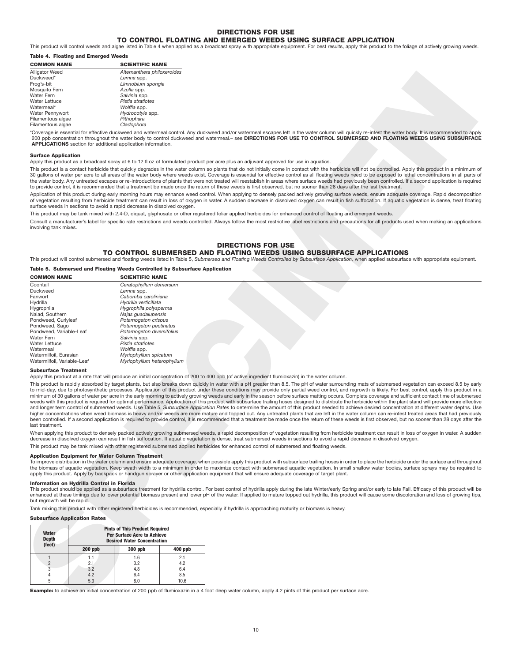# **DIRECTIONS FOR USE**

**TO CONTROL FLOATING AND EMERGED WEEDS USING SURFACE APPLICATION** This product will control weeds and algae listed in Table 4 when applied as a broadcast spray with appropriate equipment. For best results, apply this product to the foliage of actively growing weeds.

### **Table 4. Floating and Emerged Weeds**

| <b>COMMON NAME</b>    | <b>SCIENTIFIC NAME</b>      |  |  |  |  |
|-----------------------|-----------------------------|--|--|--|--|
| <b>Alligator Weed</b> | Alternanthera philoxeroides |  |  |  |  |
| Duckweed*             | Lemna spp.                  |  |  |  |  |
| Frog's-bit            | Limnobium spongia           |  |  |  |  |
| Mosquito Fern         | Azolla spp.                 |  |  |  |  |
| Water Fern            | Salvinia spp.               |  |  |  |  |
| <b>Water Lettuce</b>  | Pistia stratiotes           |  |  |  |  |
| Watermeal*            | Wolffia spp.                |  |  |  |  |
| Water Pennywort       | Hydrocotyle spp.            |  |  |  |  |
| Filamentous algae     | Pithophara                  |  |  |  |  |
| Filamentous algae     | Cladophora                  |  |  |  |  |
|                       |                             |  |  |  |  |

### **Surface Application**

### **DIRECTIONS FOR USE**

# **TO CONTROL SUBMERSED AND FLOATING WEEDS USING SUBSURFACE APPLICATIONS**

### **Table 5. Submersed and Floating Weeds Controlled by Subsurface Application**

| Duckweed*<br>Frog's-bit                                                   |            | Lemna spp.                                                                 |             |                                                                                                                                                                                                                                                                                                                                                                                                                                                                                                                                                                                                                                                                                                                                                                                                                                                                                                                                                                                                                                                                                                                                                                                                                                                                     |
|---------------------------------------------------------------------------|------------|----------------------------------------------------------------------------|-------------|---------------------------------------------------------------------------------------------------------------------------------------------------------------------------------------------------------------------------------------------------------------------------------------------------------------------------------------------------------------------------------------------------------------------------------------------------------------------------------------------------------------------------------------------------------------------------------------------------------------------------------------------------------------------------------------------------------------------------------------------------------------------------------------------------------------------------------------------------------------------------------------------------------------------------------------------------------------------------------------------------------------------------------------------------------------------------------------------------------------------------------------------------------------------------------------------------------------------------------------------------------------------|
|                                                                           |            | Limnobium spongia                                                          |             |                                                                                                                                                                                                                                                                                                                                                                                                                                                                                                                                                                                                                                                                                                                                                                                                                                                                                                                                                                                                                                                                                                                                                                                                                                                                     |
| Mosquito Fern                                                             |            | Azolla spp.                                                                |             |                                                                                                                                                                                                                                                                                                                                                                                                                                                                                                                                                                                                                                                                                                                                                                                                                                                                                                                                                                                                                                                                                                                                                                                                                                                                     |
| Water Fern                                                                |            | Salvinia spp.                                                              |             |                                                                                                                                                                                                                                                                                                                                                                                                                                                                                                                                                                                                                                                                                                                                                                                                                                                                                                                                                                                                                                                                                                                                                                                                                                                                     |
| <b>Water Lettuce</b><br>Watermeal*                                        |            | Pistia stratiotes<br>Wolffia spp.                                          |             |                                                                                                                                                                                                                                                                                                                                                                                                                                                                                                                                                                                                                                                                                                                                                                                                                                                                                                                                                                                                                                                                                                                                                                                                                                                                     |
| Water Pennywort                                                           |            | Hydrocotyle spp.                                                           |             |                                                                                                                                                                                                                                                                                                                                                                                                                                                                                                                                                                                                                                                                                                                                                                                                                                                                                                                                                                                                                                                                                                                                                                                                                                                                     |
| Filamentous algae                                                         |            | Pithophara                                                                 |             |                                                                                                                                                                                                                                                                                                                                                                                                                                                                                                                                                                                                                                                                                                                                                                                                                                                                                                                                                                                                                                                                                                                                                                                                                                                                     |
| Filamentous algae                                                         |            | Cladophora                                                                 |             |                                                                                                                                                                                                                                                                                                                                                                                                                                                                                                                                                                                                                                                                                                                                                                                                                                                                                                                                                                                                                                                                                                                                                                                                                                                                     |
|                                                                           |            | APPLICATIONS section for additional application information.               |             | *Coverage is essential for effective duckweed and watermeal control. Any duckweed and/or watermeal escapes left in the water column will quickly re-infest the water body. It is recommended to app<br>200 ppb concentration throughout the water body to control duckweed and watermeal.- see DIRECTIONS FOR USE TO CONTROL SUBMERSED AND FLOATING WEEDS USING SUBSURFAC                                                                                                                                                                                                                                                                                                                                                                                                                                                                                                                                                                                                                                                                                                                                                                                                                                                                                           |
| <b>Surface Application</b>                                                |            |                                                                            |             | Apply this product as a broadcast spray at 6 to 12 fl oz of formulated product per acre plus an adjuvant approved for use in aquatics.                                                                                                                                                                                                                                                                                                                                                                                                                                                                                                                                                                                                                                                                                                                                                                                                                                                                                                                                                                                                                                                                                                                              |
|                                                                           |            |                                                                            |             | This product is a contact herbicide that quickly degrades in the water column so plants that do not initially come in contact with the herbicide will not be controlled. Apply this product in a minimum or<br>30 gallons of water per acre to all areas of the water body where weeds exist. Coverage is essential for effective control as all floating weeds need to be exposed to lethal concentrations in all parts of<br>the water body. Any untreated escapes or re-introductions of plants that were not treated will reestablish in areas where surface weeds had previously been controlled. If a second application is require                                                                                                                                                                                                                                                                                                                                                                                                                                                                                                                                                                                                                           |
|                                                                           |            |                                                                            |             | to provide control, it is recommended that a treatment be made once the return of these weeds is first observed, but no sooner than 28 days after the last treatment.<br>Application of this product during early morning hours may enhance weed control. When applying to densely packed actively growing surface weeds, ensure adequate coverage. Rapid decompositional<br>of vegetation resulting from herbicide treatment can result in loss of oxygen in water. A sudden decrease in dissolved oxygen can result in fish suffocation. If aquatic vegetation is dense, treat floatin                                                                                                                                                                                                                                                                                                                                                                                                                                                                                                                                                                                                                                                                            |
|                                                                           |            | surface weeds in sections to avoid a rapid decrease in dissolved oxygen.   |             |                                                                                                                                                                                                                                                                                                                                                                                                                                                                                                                                                                                                                                                                                                                                                                                                                                                                                                                                                                                                                                                                                                                                                                                                                                                                     |
|                                                                           |            |                                                                            |             | This product may be tank mixed with 2,4-D, diquat, glyphosate or other registered foliar applied herbicides for enhanced control of floating and emergent weeds.                                                                                                                                                                                                                                                                                                                                                                                                                                                                                                                                                                                                                                                                                                                                                                                                                                                                                                                                                                                                                                                                                                    |
| involving tank mixes.                                                     |            |                                                                            |             | Consult a manufacturer's label for specific rate restrictions and weeds controlled. Always follow the most restrictive label restrictions and precautions for all products used when making an application                                                                                                                                                                                                                                                                                                                                                                                                                                                                                                                                                                                                                                                                                                                                                                                                                                                                                                                                                                                                                                                          |
|                                                                           |            |                                                                            |             | <b>DIRECTIONS FOR USE</b>                                                                                                                                                                                                                                                                                                                                                                                                                                                                                                                                                                                                                                                                                                                                                                                                                                                                                                                                                                                                                                                                                                                                                                                                                                           |
|                                                                           |            |                                                                            |             | TO CONTROL SUBMERSED AND FLOATING WEEDS USING SUBSURFACE APPLICATIONS<br>This product will control submersed and floating weeds listed in Table 5, Submersed and Floating Weeds Controlled by Subsurface Application, when applied subsurface with appropriate equipment.                                                                                                                                                                                                                                                                                                                                                                                                                                                                                                                                                                                                                                                                                                                                                                                                                                                                                                                                                                                           |
|                                                                           |            | Table 5. Submersed and Floating Weeds Controlled by Subsurface Application |             |                                                                                                                                                                                                                                                                                                                                                                                                                                                                                                                                                                                                                                                                                                                                                                                                                                                                                                                                                                                                                                                                                                                                                                                                                                                                     |
| <b>COMMON NAME</b>                                                        |            | <b>SCIENTIFIC NAME</b>                                                     |             |                                                                                                                                                                                                                                                                                                                                                                                                                                                                                                                                                                                                                                                                                                                                                                                                                                                                                                                                                                                                                                                                                                                                                                                                                                                                     |
| Coontail                                                                  |            | Ceratophyllum demersum                                                     |             |                                                                                                                                                                                                                                                                                                                                                                                                                                                                                                                                                                                                                                                                                                                                                                                                                                                                                                                                                                                                                                                                                                                                                                                                                                                                     |
| Duckweed                                                                  |            | Lemna spp.                                                                 |             |                                                                                                                                                                                                                                                                                                                                                                                                                                                                                                                                                                                                                                                                                                                                                                                                                                                                                                                                                                                                                                                                                                                                                                                                                                                                     |
| Fanwort                                                                   |            | Cabomba caroliniana                                                        |             |                                                                                                                                                                                                                                                                                                                                                                                                                                                                                                                                                                                                                                                                                                                                                                                                                                                                                                                                                                                                                                                                                                                                                                                                                                                                     |
| Hydrilla<br>Hygrophila                                                    |            | Hydrilla verticillata<br>Hygrophila polysperma                             |             |                                                                                                                                                                                                                                                                                                                                                                                                                                                                                                                                                                                                                                                                                                                                                                                                                                                                                                                                                                                                                                                                                                                                                                                                                                                                     |
| Naiad, Southern                                                           |            | Najas guadalupensis                                                        |             |                                                                                                                                                                                                                                                                                                                                                                                                                                                                                                                                                                                                                                                                                                                                                                                                                                                                                                                                                                                                                                                                                                                                                                                                                                                                     |
| Pondweed, Curlyleaf                                                       |            | Potamogeton crispus                                                        |             |                                                                                                                                                                                                                                                                                                                                                                                                                                                                                                                                                                                                                                                                                                                                                                                                                                                                                                                                                                                                                                                                                                                                                                                                                                                                     |
| Pondweed, Sago                                                            |            | Potamogeton pectinatus                                                     |             |                                                                                                                                                                                                                                                                                                                                                                                                                                                                                                                                                                                                                                                                                                                                                                                                                                                                                                                                                                                                                                                                                                                                                                                                                                                                     |
| Pondweed, Variable-Leaf                                                   |            | Potamogeton diversifolius                                                  |             |                                                                                                                                                                                                                                                                                                                                                                                                                                                                                                                                                                                                                                                                                                                                                                                                                                                                                                                                                                                                                                                                                                                                                                                                                                                                     |
|                                                                           |            | Salvinia spp.                                                              |             |                                                                                                                                                                                                                                                                                                                                                                                                                                                                                                                                                                                                                                                                                                                                                                                                                                                                                                                                                                                                                                                                                                                                                                                                                                                                     |
| Water Fern                                                                |            |                                                                            |             |                                                                                                                                                                                                                                                                                                                                                                                                                                                                                                                                                                                                                                                                                                                                                                                                                                                                                                                                                                                                                                                                                                                                                                                                                                                                     |
| <b>Water Lettuce</b>                                                      |            | Pistia stratiotes                                                          |             |                                                                                                                                                                                                                                                                                                                                                                                                                                                                                                                                                                                                                                                                                                                                                                                                                                                                                                                                                                                                                                                                                                                                                                                                                                                                     |
| Watermeal                                                                 |            | Wolffia spp.                                                               |             |                                                                                                                                                                                                                                                                                                                                                                                                                                                                                                                                                                                                                                                                                                                                                                                                                                                                                                                                                                                                                                                                                                                                                                                                                                                                     |
| Watermilfoil, Eurasian<br>Watermilfoil, Variable-Leaf                     |            | Myriophyllum spicatum<br>Myriophyllum heterophyllum                        |             |                                                                                                                                                                                                                                                                                                                                                                                                                                                                                                                                                                                                                                                                                                                                                                                                                                                                                                                                                                                                                                                                                                                                                                                                                                                                     |
|                                                                           |            |                                                                            |             |                                                                                                                                                                                                                                                                                                                                                                                                                                                                                                                                                                                                                                                                                                                                                                                                                                                                                                                                                                                                                                                                                                                                                                                                                                                                     |
| <b>Subsurface Treatment</b>                                               |            |                                                                            |             | Apply this product at a rate that will produce an initial concentration of 200 to 400 ppb (of active ingredient flumioxazin) in the water column.                                                                                                                                                                                                                                                                                                                                                                                                                                                                                                                                                                                                                                                                                                                                                                                                                                                                                                                                                                                                                                                                                                                   |
|                                                                           |            |                                                                            |             | This product is rapidly absorbed by target plants, but also breaks down quickly in water with a pH greater than 8.5. The pH of water surrounding mats of submersed vegetation can exceed 8.5 by ear<br>to mid-day, due to photosynthetic processes. Application of this product under these conditions may provide only partial weed control, and regrowth is likely. For best control, apply this product in<br>minimum of 30 gallons of water per acre in the early morning to actively growing weeds and early in the season before surface matting occurs. Complete coverage and sufficient contact time of submerse<br>weeds with this product is required for optimal performance. Application of this product with subsurface trailing hoses designed to distribute the herbicide within the plant stand will provide more effective<br>and longer term control of submersed weeds. Use Table 5, Subsurface Application Rates to determine the amount of this product needed to achieve desired concentration at different water depths. Us<br>higher concentrations when weed biomass is heavy and/or weeds are more mature and topped out. Any untreated plants that are left in the water column can re-infest treated areas that had previous            |
| last treatment.                                                           |            |                                                                            |             |                                                                                                                                                                                                                                                                                                                                                                                                                                                                                                                                                                                                                                                                                                                                                                                                                                                                                                                                                                                                                                                                                                                                                                                                                                                                     |
|                                                                           |            |                                                                            |             | decrease in dissolved oxygen can result in fish suffocation. If aquatic vegetation is dense, treat submersed weeds in sections to avoid a rapid decrease in dissolved oxygen.                                                                                                                                                                                                                                                                                                                                                                                                                                                                                                                                                                                                                                                                                                                                                                                                                                                                                                                                                                                                                                                                                       |
|                                                                           |            |                                                                            |             | This product may be tank mixed with other registered submersed applied herbicides for enhanced control of submersed and floating weeds.                                                                                                                                                                                                                                                                                                                                                                                                                                                                                                                                                                                                                                                                                                                                                                                                                                                                                                                                                                                                                                                                                                                             |
|                                                                           |            |                                                                            |             |                                                                                                                                                                                                                                                                                                                                                                                                                                                                                                                                                                                                                                                                                                                                                                                                                                                                                                                                                                                                                                                                                                                                                                                                                                                                     |
|                                                                           |            | <b>Application Equipment for Water Column Treatment</b>                    |             | apply this product. Apply by backpack or handgun sprayer or other application equipment that will ensure adequate coverage of target plant.                                                                                                                                                                                                                                                                                                                                                                                                                                                                                                                                                                                                                                                                                                                                                                                                                                                                                                                                                                                                                                                                                                                         |
| Information on Hydrilla Control in Florida<br>but regrowth will be rapid. |            |                                                                            |             |                                                                                                                                                                                                                                                                                                                                                                                                                                                                                                                                                                                                                                                                                                                                                                                                                                                                                                                                                                                                                                                                                                                                                                                                                                                                     |
|                                                                           |            |                                                                            |             | Tank mixing this product with other registered herbicides is recommended, especially if hydrilla is approaching maturity or biomass is heavy.                                                                                                                                                                                                                                                                                                                                                                                                                                                                                                                                                                                                                                                                                                                                                                                                                                                                                                                                                                                                                                                                                                                       |
|                                                                           |            |                                                                            |             |                                                                                                                                                                                                                                                                                                                                                                                                                                                                                                                                                                                                                                                                                                                                                                                                                                                                                                                                                                                                                                                                                                                                                                                                                                                                     |
| <b>Subsurface Application Rates</b>                                       |            | <b>Pints of This Product Required</b>                                      |             |                                                                                                                                                                                                                                                                                                                                                                                                                                                                                                                                                                                                                                                                                                                                                                                                                                                                                                                                                                                                                                                                                                                                                                                                                                                                     |
| Water<br><b>Depth</b>                                                     |            | <b>Per Surface Acre to Achieve</b><br><b>Desired Water Concentration</b>   |             |                                                                                                                                                                                                                                                                                                                                                                                                                                                                                                                                                                                                                                                                                                                                                                                                                                                                                                                                                                                                                                                                                                                                                                                                                                                                     |
| (feet)                                                                    | $200$ ppb  | 300 ppb                                                                    | 400 ppb     |                                                                                                                                                                                                                                                                                                                                                                                                                                                                                                                                                                                                                                                                                                                                                                                                                                                                                                                                                                                                                                                                                                                                                                                                                                                                     |
| $\mathbf{1}$                                                              | 1.1        | 1.6                                                                        | 2.1         |                                                                                                                                                                                                                                                                                                                                                                                                                                                                                                                                                                                                                                                                                                                                                                                                                                                                                                                                                                                                                                                                                                                                                                                                                                                                     |
| $\overline{2}$                                                            | 2.1        | 3.2                                                                        | 4.2         | been controlled. If a second application is required to provide control, it is recommended that a treatment be made once the return of these weeds is first observed, but no sooner than 28 days after th<br>When applying this product to densely packed actively growing submersed weeds, a rapid decomposition of vegetation resulting from herbicide treatment can result in loss of oxygen in water. A sudde<br>To improve distribution in the water column and ensure adequate coverage, when possible apply this product with subsurface trailing hoses in order to place the herbicide under the surface and throughor<br>the biomass of aquatic vegetation. Keep swath width to a minimum in order to maximize contact with submersed aquatic vegetation. In small shallow water bodies, surface sprays may be required t<br>This product should be applied as a subsurface treatment for hydrilla control. For best control of hydrilla apply during the late Winter/early Spring and/or early to late Fall. Efficacy of this product will b<br>enhanced at these timings due to lower potential biomass present and lower pH of the water. If applied to mature topped out hydrilla, this product will cause some discoloration and loss of growing tip: |
| 3                                                                         | 3.2        | 4.8                                                                        | 6.4         |                                                                                                                                                                                                                                                                                                                                                                                                                                                                                                                                                                                                                                                                                                                                                                                                                                                                                                                                                                                                                                                                                                                                                                                                                                                                     |
| 4<br>5                                                                    | 4.2<br>5.3 | 6.4<br>8.0                                                                 | 8.5<br>10.6 |                                                                                                                                                                                                                                                                                                                                                                                                                                                                                                                                                                                                                                                                                                                                                                                                                                                                                                                                                                                                                                                                                                                                                                                                                                                                     |

## **Application Equipment for Water Column Treatment**

### **Information on Hydrilla Control in Florida**

### **Subsurface Application Rates**

| <b>Water</b><br><b>Depth</b><br>(feet) | <b>Pints of This Product Required</b><br><b>Per Surface Acre to Achieve</b><br><b>Desired Water Concentration</b> |         |           |  |  |
|----------------------------------------|-------------------------------------------------------------------------------------------------------------------|---------|-----------|--|--|
|                                        | $200$ ppb                                                                                                         | 300 ppb | $400$ ppb |  |  |
|                                        | 1.1                                                                                                               | 1.6     | 2.1       |  |  |
| $\overline{2}$                         | 2.1                                                                                                               | 3.2     | 4.2       |  |  |
| 3                                      | 3.2                                                                                                               | 4.8     | 6.4       |  |  |
|                                        | 4.2                                                                                                               | 6.4     | 8.5       |  |  |
| 5                                      | 5.3                                                                                                               | 8.0     | 10.6      |  |  |